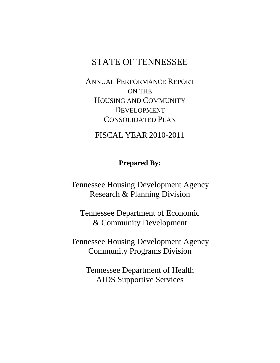# STATE OF TENNESSEE

ANNUAL PERFORMANCE REPORT ON THE HOUSING AND COMMUNITY DEVELOPMENT CONSOLIDATED PLAN

FISCAL YEAR 2010-2011

## **Prepared By:**

Tennessee Housing Development Agency Research & Planning Division

Tennessee Department of Economic & Community Development

Tennessee Housing Development Agency Community Programs Division

> Tennessee Department of Health AIDS Supportive Services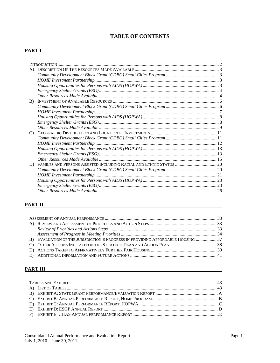## **TABLE OF CONTENTS**

#### **PART I**

| A)            |  |
|---------------|--|
|               |  |
|               |  |
|               |  |
|               |  |
|               |  |
| B)            |  |
|               |  |
|               |  |
|               |  |
|               |  |
|               |  |
| $\mathcal{C}$ |  |
|               |  |
|               |  |
|               |  |
|               |  |
|               |  |
| D)            |  |
|               |  |
|               |  |
|               |  |
|               |  |
|               |  |

#### **PART II**

| B) EVALUATION OF THE JURISDICTION'S PROGRESS IN PROVIDING AFFORDABLE HOUSING  37 |  |
|----------------------------------------------------------------------------------|--|
|                                                                                  |  |
|                                                                                  |  |
|                                                                                  |  |

#### **PART III**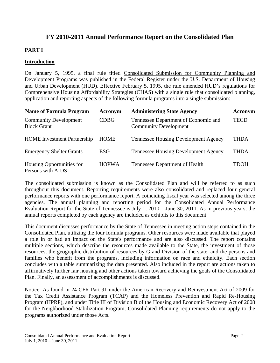## **FY 2010-2011 Annual Performance Report on the Consolidated Plan**

## **PART I**

## **Introduction**

On January 5, 1995, a final rule titled Consolidated Submission for Community Planning and Development Programs was published in the Federal Register under the U.S. Department of Housing and Urban Development (HUD). Effective February 5, 1995, the rule amended HUD's regulations for Comprehensive Housing Affordability Strategies (CHAS) with a single rule that consolidated planning, application and reporting aspects of the following formula programs into a single submission:

| <b>Name of Formula Program</b>                     | Acronym      | <b>Administering State Agency</b>                                    | Acronym |
|----------------------------------------------------|--------------|----------------------------------------------------------------------|---------|
| <b>Community Development</b><br><b>Block Grant</b> | <b>CDBG</b>  | Tennessee Department of Economic and<br><b>Community Development</b> | TECD    |
| <b>HOME</b> Investment Partnership                 | HOME         | <b>Tennessee Housing Development Agency</b>                          | THDA    |
| <b>Emergency Shelter Grants</b>                    | ESG          | <b>Tennessee Housing Development Agency</b>                          | THDA    |
| Housing Opportunities for<br>Persons with AIDS     | <b>HOPWA</b> | Tennessee Department of Health                                       | TDOH    |

The consolidated submission is known as the Consolidated Plan and will be referred to as such throughout this document. Reporting requirements were also consolidated and replaced four general performance reports with one performance report. A coinciding fiscal year was selected among the three agencies. The annual planning and reporting period for the Consolidated Annual Performance Evaluation Report for the State of Tennessee is July 1, 2010 – June 30, 2011. As in previous years, the annual reports completed by each agency are included as exhibits to this document.

This document discusses performance by the State of Tennessee in meeting action steps contained in the Consolidated Plan, utilizing the four formula programs. Other resources were made available that played a role in or had an impact on the State's performance and are also discussed. The report contains multiple sections, which describe the resources made available to the State, the investment of those resources, the geographic distribution of resources by Grand Division of the state, and the persons and families who benefit from the programs, including information on race and ethnicity. Each section concludes with a table summarizing the data presented. Also included in the report are actions taken to affirmatively further fair housing and other actions taken toward achieving the goals of the Consolidated Plan. Finally, an assessment of accomplishments is discussed.

Notice: As found in 24 CFR Part 91 under the American Recovery and Reinvestment Act of 2009 for the Tax Credit Assistance Program (TCAP) and the Homeless Prevention and Rapid Re-Housing Program (HPRP), and under Title III of Division B of the Housing and Economic Recovery Act of 2008 for the Neighborhood Stabilization Program, Consolidated Planning requirements do not apply to the programs authorized under those Acts.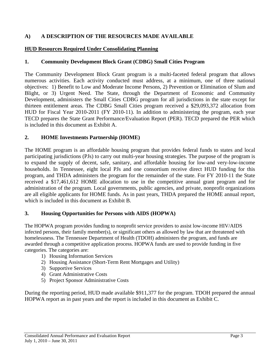## **A) A DESCRIPTION OF THE RESOURCES MADE AVAILABLE**

#### **HUD Resources Required Under Consolidating Planning**

#### **1. Community Development Block Grant (CDBG) Small Cities Program**

The Community Development Block Grant program is a multi-faceted federal program that allows numerous activities. Each activity conducted must address, at a minimum, one of three national objectives: 1) Benefit to Low and Moderate Income Persons, 2) Prevention or Elimination of Slum and Blight, or 3) Urgent Need. The State, through the Department of Economic and Community Development, administers the Small Cities CDBG program for all jurisdictions in the state except for thirteen entitlement areas. The CDBG Small Cities program received a \$29,093,372 allocation from HUD for Fiscal Year 2010-2011 (FY 2010-11). In addition to administering the program, each year TECD prepares the State Grant Performance/Evaluation Report (PER). TECD prepared the PER which is included in this document as Exhibit A.

## **2. HOME Investments Partnership (HOME)**

The HOME program is an affordable housing program that provides federal funds to states and local participating jurisdictions (PJs) to carry out multi-year housing strategies. The purpose of the program is to expand the supply of decent, safe, sanitary, and affordable housing for low-and very-low-income households. In Tennessee, eight local PJs and one consortium receive direct HUD funding for this program, and THDA administers the program for the remainder of the state. For FY 2010-11 the State received a \$17,461,612 HOME allocation to use in the competitive annual grant program and for administration of the program. Local governments, public agencies, and private, nonprofit organizations are all eligible applicants for HOME funds. As in past years, THDA prepared the HOME annual report, which is included in this document as Exhibit B.

#### **3. Housing Opportunities for Persons with AIDS (HOPWA)**

The HOPWA program provides funding to nonprofit service providers to assist low-income HIV/AIDS infected persons, their family member(s), or significant others as allowed by law that are threatened with homelessness. The Tennessee Department of Health (TDOH) administers the program, and funds are awarded through a competitive application process. HOPWA funds are used to provide funding in five categories. The categories are:

- 1) Housing Information Services
- 2) Housing Assistance (Short-Term Rent Mortgages and Utility)
- 3) Supportive Services
- 4) Grant Administrative Costs
- 5) Project Sponsor Administrative Costs

During the reporting period, HUD made available \$911,377 for the program. TDOH prepared the annual HOPWA report as in past years and the report is included in this document as Exhibit C.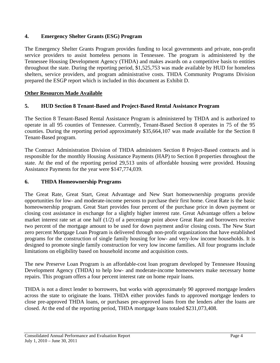## **4. Emergency Shelter Grants (ESG) Program**

The Emergency Shelter Grants Program provides funding to local governments and private, non-profit service providers to assist homeless persons in Tennessee. The program is administered by the Tennessee Housing Development Agency (THDA) and makes awards on a competitive basis to entities throughout the state. During the reporting period, \$1,525,753 was made available by HUD for homeless shelters, service providers, and program administrative costs. THDA Community Programs Division prepared the ESGP report which is included in this document as Exhibit D.

## **Other Resources Made Available**

## **5. HUD Section 8 Tenant-Based and Project-Based Rental Assistance Program**

The Section 8 Tenant-Based Rental Assistance Program is administered by THDA and is authorized to operate in all 95 counties of Tennessee. Currently, Tenant-Based Section 8 operates in 75 of the 95 counties. During the reporting period approximately \$35,664,107 was made available for the Section 8 Tenant-Based program.

The Contract Administration Division of THDA administers Section 8 Project-Based contracts and is responsible for the monthly Housing Assistance Payments (HAP) to Section 8 properties throughout the state. At the end of the reporting period 29,513 units of affordable housing were provided. Housing Assistance Payments for the year were \$147,774,039.

#### **6. THDA Homeownership Programs**

The Great Rate, Great Start, Great Advantage and New Start homeownership programs provide opportunities for low- and moderate-income persons to purchase their first home. Great Rate is the basic homeownership program. Great Start provides four percent of the purchase price in down payment or closing cost assistance in exchange for a slightly higher interest rate. Great Advantage offers a below market interest rate set at one half (1/2) of a percentage point above Great Rate and borrowers receive two percent of the mortgage amount to be used for down payment and/or closing costs. The New Start zero percent Mortgage Loan Program is delivered through non-profit organizations that have established programs for the construction of single family housing for low- and very-low income households. It is designed to promote single family construction for very low income families. All four programs include limitations on eligibility based on household income and acquisition costs.

The new Preserve Loan Program is an affordable-cost loan program developed by Tennessee Housing Development Agency (THDA) to help low- and moderate-income homeowners make necessary home repairs. This program offers a four percent interest rate on home repair loans.

THDA is not a direct lender to borrowers, but works with approximately 90 approved mortgage lenders across the state to originate the loans. THDA either provides funds to approved mortgage lenders to close pre-approved THDA loans, or purchases pre-approved loans from the lenders after the loans are closed. At the end of the reporting period, THDA mortgage loans totaled \$231,073,408.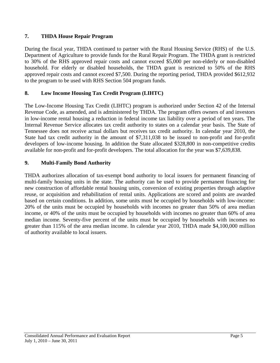## **7. THDA House Repair Program**

During the fiscal year, THDA continued to partner with the Rural Housing Service (RHS) of the U.S. Department of Agriculture to provide funds for the Rural Repair Program. The THDA grant is restricted to 30% of the RHS approved repair costs and cannot exceed \$5,000 per non-elderly or non-disabled household. For elderly or disabled households, the THDA grant is restricted to 50% of the RHS approved repair costs and cannot exceed \$7,500. During the reporting period, THDA provided \$612,932 to the program to be used with RHS Section 504 program funds.

## **8. Low Income Housing Tax Credit Program (LIHTC)**

The Low-Income Housing Tax Credit (LIHTC) program is authorized under Section 42 of the Internal Revenue Code, as amended, and is administered by THDA. The program offers owners of and investors in low-income rental housing a reduction in federal income tax liability over a period of ten years. The Internal Revenue Service allocates tax credit authority to states on a calendar year basis. The State of Tennessee does not receive actual dollars but receives tax credit authority. In calendar year 2010, the State had tax credit authority in the amount of \$7,311,038 to be issued to non-profit and for-profit developers of low-income housing. In addition the State allocated \$328,800 in non-competitive credits available for non-profit and for-profit developers. The total allocation for the year was \$7,639,838.

## **9. Multi-Family Bond Authority**

THDA authorizes allocation of tax-exempt bond authority to local issuers for permanent financing of multi-family housing units in the state. The authority can be used to provide permanent financing for new construction of affordable rental housing units, conversion of existing properties through adaptive reuse, or acquisition and rehabilitation of rental units. Applications are scored and points are awarded based on certain conditions. In addition, some units must be occupied by households with low-income: 20% of the units must be occupied by households with incomes no greater than 50% of area median income, or 40% of the units must be occupied by households with incomes no greater than 60% of area median income. Seventy-five percent of the units must be occupied by households with incomes no greater than 115% of the area median income. In calendar year 2010, THDA made \$4,100,000 million of authority available to local issuers.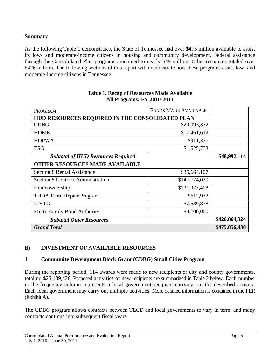## **Summary**

As the following Table 1 demonstrates, the State of Tennessee had over \$475 million available to assist its low- and moderate-income citizens in housing and community development. Federal assistance through the Consolidated Plan programs amounted to nearly \$49 million. Other resources totaled over \$426 million. The following sections of this report will demonstrate how these programs assist low- and moderate-income citizens in Tennessee.

| PROGRAM                                         | <b>FUNDS MADE AVAILABLE</b> |               |
|-------------------------------------------------|-----------------------------|---------------|
| HUD RESOURCES REQUIRED IN THE CONSOLIDATED PLAN |                             |               |
| <b>CDBG</b>                                     | \$29,093,372                |               |
| <b>HOME</b>                                     | \$17,461,612                |               |
| <b>HOPWA</b>                                    | \$911,377                   |               |
| <b>ESG</b>                                      | \$1,525,753                 |               |
| <b>Subtotal of HUD Resources Required</b>       | \$48,992,114                |               |
| <b>OTHER RESOURCES MADE AVAILABLE</b>           |                             |               |
| <b>Section 8 Rental Assistance</b>              | \$35,664,107                |               |
| <b>Section 8 Contract Administration</b>        | \$147,774,039               |               |
| Homeownership                                   | \$231,073,408               |               |
| <b>THDA Rural Repair Program</b>                | \$612,932                   |               |
| <b>LIHTC</b>                                    | \$7,639,838                 |               |
| <b>Multi-Family Bond Authority</b>              | \$4,100,000                 |               |
| <b>Subtotal Other Resources</b>                 | \$426,864,324               |               |
| <b>Grand Total</b>                              |                             | \$475,856,438 |

#### **Table 1. Recap of Resources Made Available All Programs: FY 2010-2011**

## **B) INVESTMENT OF AVAILABLE RESOURCES**

## **1. Community Development Block Grant (CDBG) Small Cities Program**

During the reporting period, 114 awards were made to new recipients or city and county governments, totaling \$25,189,426. Proposed activities of new recipients are summarized in Table 2 below. Each number in the frequency column represents a local government recipient carrying out the described activity. Each local government may carry out multiple activities. More detailed information is contained in the PER (Exhibit A).

The CDBG program allows contracts between TECD and local governments to vary in term, and many contracts continue into subsequent fiscal years.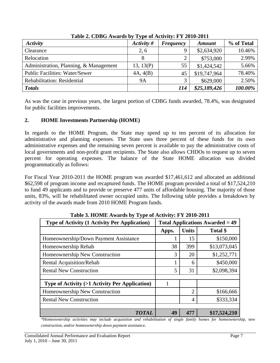| <b>Activity</b>                        | .<br>Activity # | <b>Frequency</b> | <b>Amount</b> | % of Total |
|----------------------------------------|-----------------|------------------|---------------|------------|
| Clearance                              | 2, 6            |                  | \$2,634,920   | 10.46%     |
| Relocation                             | 8               |                  | \$753,000     | 2.99%      |
| Administration, Planning, & Management | 13, 13(P)       | 55               | \$1,424,542   | 5.66%      |
| <b>Public Facilities: Water/Sewer</b>  | 4A, 4(B)        | 45               | \$19,747,964  | 78.40%     |
| Rehabilitation: Residential            | <b>9A</b>       |                  | \$629,000     | 2.50%      |
| <b>Totals</b>                          |                 | 114              | \$25,189,426  | 100.00%    |

**Table 2. CDBG Awards by Type of Activity: FY 2010-2011** 

As was the case in previous years, the largest portion of CDBG funds awarded, 78.4%, was designated for public facilities improvements.

## **2. HOME Investments Partnership (HOME)**

In regards to the HOME Program, the State may spend up to ten percent of its allocation for administrative and planning expenses. The State uses three percent of these funds for its own administrative expenses and the remaining seven percent is available to pay the administrative costs of local governments and non-profit grant recipients. The State also allows CHDOs to request up to seven percent for operating expenses. The balance of the State HOME allocation was divided programmatically as follows:

For Fiscal Year 2010-2011 the HOME program was awarded \$17,461,612 and allocated an additional \$62,598 of program income and recaptured funds. The HOME program provided a total of \$17,524,210 to fund 49 applicants and to provide or preserve 477 units of affordable housing. The majority of those units, 83%, will be rehabilitated owner occupied units. The following table provides a breakdown by activity of the awards made from 2010 HOME Program funds.

| <b>Type of Activity (1 Activity Per Application)</b>     | <b>Total Applications Awarded = 49</b> |                |              |  |
|----------------------------------------------------------|----------------------------------------|----------------|--------------|--|
|                                                          | Apps.                                  | <b>Units</b>   | Total \$     |  |
| Homeownership/Down Payment Assistance                    |                                        | 15             | \$150,000    |  |
| Homeownership Rehab                                      | 38                                     | 399            | \$13,073,045 |  |
| Homeownership New Construction                           | 3                                      | 20             | \$1,252,771  |  |
| <b>Rental Acquisition/Rehab</b>                          |                                        | 6              | \$450,000    |  |
| <b>Rental New Construction</b>                           | 5                                      | 31             | \$2,098,394  |  |
|                                                          |                                        |                |              |  |
| <b>Type of Activity (&gt;1 Activity Per Application)</b> | 1                                      |                |              |  |
| Homeownership New Construction                           |                                        | $\overline{2}$ | \$166,666    |  |
| <b>Rental New Construction</b>                           |                                        | 4              | \$333,334    |  |
|                                                          |                                        |                |              |  |
| <b>TOTAL</b>                                             | 49                                     | 477            | \$17,524,210 |  |

**Table 3. HOME Awards by Type of Activity: FY 2010-2011** 

*\*Homeownership activities may include acquisition and rehabilitation of single family homes for homeownership, new construction, and/or homeownership down payment assistance.*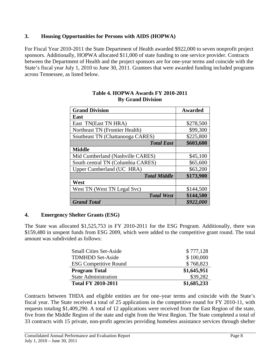## **3. Housing Opportunities for Persons with AIDS (HOPWA)**

For Fiscal Year 2010-2011 the State Department of Health awarded \$922,000 to seven nonprofit project sponsors. Additionally, HOPWA allocated \$11,000 of state funding to one service provider. Contracts between the Department of Health and the project sponsors are for one-year terms and coincide with the State's fiscal year July 1, 2010 to June 30, 2011. Grantees that were awarded funding included programs across Tennessee, as listed below.

| <b>Grand Division</b>             | <b>Awarded</b> |
|-----------------------------------|----------------|
| East                              |                |
| East TN(East TN HRA)              | \$278,500      |
| Northeast TN (Frontier Health)    | \$99,300       |
| Southeast TN (Chattanooga CARES)  | \$225,800      |
| <b>Total East</b>                 | \$603,600      |
| <b>Middle</b>                     |                |
| Mid Cumberland (Nashville CARES)  | \$45,100       |
| South central TN (Columbia CARES) | \$65,600       |
| Upper Cumberland (UC HRA)         | \$63,200       |
| <b>Total Middle</b>               | \$173,900      |
| West                              |                |
| West TN (West TN Legal Svc)       | \$144,500      |
| <b>Total West</b>                 | \$144,500      |
| <b>Grand Total</b>                | \$922,000      |

## **Table 4. HOPWA Awards FY 2010-2011 By Grand Division**

## **4. Emergency Shelter Grants (ESG)**

The State was allocated \$1,525,753 in FY 2010-2011 for the ESG Program. Additionally, there was \$159,480 in unspent funds from ESG 2009, which were added to the competitive grant round. The total amount was subdivided as follows:

| <b>Small Cities Set-Aside</b> | \$777,128   |
|-------------------------------|-------------|
| <b>TDMHDD Set-Aside</b>       | \$100,000   |
| <b>ESG Competitive Round</b>  | \$768,823   |
| <b>Program Total</b>          | \$1,645,951 |
| <b>State Administration</b>   | \$39,282    |
|                               |             |

Contracts between THDA and eligible entities are for one–year terms and coincide with the State's fiscal year. The State received a total of 25 applications in the competitive round for FY 2010-11, with requests totaling \$1,409,290. A total of 12 applications were received from the East Region of the state, five from the Middle Region of the state and eight from the West Region. The State completed a total of 33 contracts with 15 private, non-profit agencies providing homeless assistance services through shelter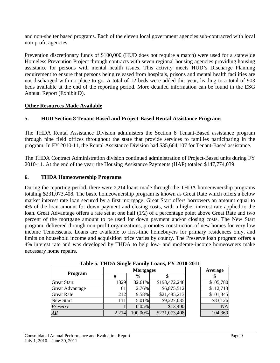and non-shelter based programs. Each of the eleven local government agencies sub-contracted with local non-profit agencies.

Prevention discretionary funds of \$100,000 (HUD does not require a match) were used for a statewide Homeless Prevention Project through contracts with seven regional housing agencies providing housing assistance for persons with mental health issues. This activity meets HUD's Discharge Planning requirement to ensure that persons being released from hospitals, prisons and mental health facilities are not discharged with no place to go. A total of 12 beds were added this year, leading to a total of 903 beds available at the end of the reporting period. More detailed information can be found in the ESG Annual Report (Exhibit D).

## **Other Resources Made Available**

## **5. HUD Section 8 Tenant-Based and Project-Based Rental Assistance Programs**

The THDA Rental Assistance Division administers the Section 8 Tenant-Based assistance program through nine field offices throughout the state that provide services to families participating in the program. In FY 2010-11, the Rental Assistance Division had \$35,664,107 for Tenant-Based assistance.

The THDA Contract Administration division continued administration of Project-Based units during FY 2010-11. At the end of the year, the Housing Assistance Payments (HAP) totaled \$147,774,039.

## **6. THDA Homeownership Programs**

During the reporting period, there were 2,214 loans made through the THDA homeownership programs totaling \$231,073,408. The basic homeownership program is known as Great Rate which offers a below market interest rate loan secured by a first mortgage. Great Start offers borrowers an amount equal to 4% of the loan amount for down payment and closing costs, with a higher interest rate applied to the loan. Great Advantage offers a rate set at one half (1/2) of a percentage point above Great Rate and two percent of the mortgage amount to be used for down payment and/or closing costs. The New Start program, delivered through non-profit organizations, promotes construction of new homes for very low income Tennesseans. Loans are available to first-time homebuyers for primary residences only, and limits on household income and acquisition price varies by county. The Preserve loan program offers a 4% interest rate and was developed by THDA to help low- and moderate-income homeowners make necessary home repairs.

|                        | 0<br><b>Mortgages</b> |               |               | Average   |
|------------------------|-----------------------|---------------|---------------|-----------|
| Program                | #                     | $\frac{6}{6}$ |               |           |
| <b>Great Start</b>     | 1829                  | 82.61%        | \$193,472,248 | \$105,780 |
| <b>Great Advantage</b> | 61                    | 2.76%         | \$6,875,512   | \$112,713 |
| <b>Great Rate</b>      | 212                   | 9.58%         | \$21,485,213  | \$101,345 |
| <b>New Start</b>       | 111                   | 5.01%         | \$9,227,035   | \$83,126  |
| Preserve               |                       | 0.05%         | \$13,400      | <b>NA</b> |
| All                    | 2,214                 | 100.00%       | \$231,073,408 | 104,369   |

**Table 5. THDA Single Family Loans, FY 2010-2011**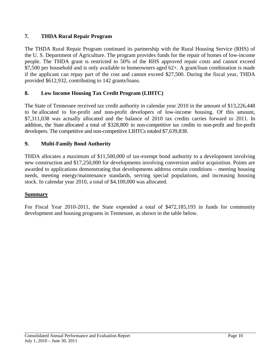## **7. THDA Rural Repair Program**

The THDA Rural Repair Program continued its partnership with the Rural Housing Service (RHS) of the U. S. Department of Agriculture. The program provides funds for the repair of homes of low-income people. The THDA grant is restricted to 50% of the RHS approved repair costs and cannot exceed \$7,500 per household and is only available to homeowners aged 62+. A grant/loan combination is made if the applicant can repay part of the cost and cannot exceed \$27,500. During the fiscal year, THDA provided \$612,932, contributing to 142 grants/loans.

## **8. Low Income Housing Tax Credit Program (LIHTC)**

The State of Tennessee received tax credit authority in calendar year 2010 in the amount of \$13,226,448 to be allocated to for-profit and non-profit developers of low-income housing. Of this amount, \$7,311,038 was actually allocated and the balance of 2010 tax credits carries forward to 2011. In addition, the State allocated a total of \$328,800 in non-competitive tax credits to non-profit and for-profit developers. The competitive and non-competitive LIHTCs totaled \$7,639,838.

## **9. Multi-Family Bond Authority**

THDA allocates a maximum of \$11,500,000 of tax-exempt bond authority to a development involving new construction and \$17,250,000 for developments involving conversion and/or acquisition. Points are awarded to applications demonstrating that developments address certain conditions – meeting housing needs, meeting energy/maintenance standards, serving special populations, and increasing housing stock. In calendar year 2010, a total of \$4,100,000 was allocated.

## **Summary**

For Fiscal Year 2010-2011, the State expended a total of \$472,185,193 in funds for community development and housing programs in Tennessee, as shown in the table below.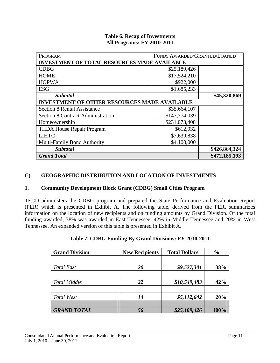|                                   | <b>Table 6. Recap of Investments</b> |
|-----------------------------------|--------------------------------------|
| <b>All Programs: FY 2010-2011</b> |                                      |

| PROGRAM                                             | FUNDS AWARDED/GRANTED/LOANED |  |  |  |  |  |
|-----------------------------------------------------|------------------------------|--|--|--|--|--|
| <b>INVESTMENT OF TOTAL RESOURCES MADE AVAILABLE</b> |                              |  |  |  |  |  |
| <b>CDBG</b>                                         | \$25,189,426                 |  |  |  |  |  |
| <b>HOME</b>                                         | \$17,524,210                 |  |  |  |  |  |
| <b>HOPWA</b>                                        | \$922,000                    |  |  |  |  |  |
| <b>ESG</b>                                          | \$1,685,233                  |  |  |  |  |  |
| <b>Subtotal</b>                                     | \$45,320,869                 |  |  |  |  |  |
| <b>INVESTMENT OF OTHER RESOURCES MADE AVAILABLE</b> |                              |  |  |  |  |  |
| <b>Section 8 Rental Assistance</b>                  | \$35,664,107                 |  |  |  |  |  |
| <b>Section 8 Contract Administration</b>            | \$147,774,039                |  |  |  |  |  |
| Homeownership                                       | \$231,073,408                |  |  |  |  |  |
| <b>THDA House Repair Program</b>                    | \$612,932                    |  |  |  |  |  |
| <b>LIHTC</b>                                        | \$7,639,838                  |  |  |  |  |  |
| Multi-Family Bond Authority                         | \$4,100,000                  |  |  |  |  |  |
| Subtotal                                            | \$426,864,324                |  |  |  |  |  |
| <b>Grand Total</b>                                  | \$472,185,193                |  |  |  |  |  |

## **C) GEOGRAPHIC DISTRIBUTION AND LOCATION OF INVESTMENTS**

## **1. Community Development Block Grant (CDBG) Small Cities Program**

TECD administers the CDBG program and prepared the State Performance and Evaluation Report (PER) which is presented in Exhibit A. The following table, derived from the PER, summarizes information on the location of new recipients and on funding amounts by Grand Division. Of the total funding awarded, 38% was awarded in East Tennessee, 42% in Middle Tennessee and 20% in West Tennessee. An expanded version of this table is presented in Exhibit A.

| <b>Grand Division</b> | <b>New Recipients</b> | <b>Total Dollars</b> | $\frac{6}{6}$ |
|-----------------------|-----------------------|----------------------|---------------|
|                       |                       |                      |               |
| <b>Total East</b>     | 20                    | \$9,527,301          | 38%           |
|                       |                       |                      |               |
| <b>Total Middle</b>   | 22                    | \$10,549,483         | 42%           |
|                       |                       |                      |               |
| Total West            | 14                    | \$5,112,642          | 20%           |
|                       |                       |                      |               |
| <b>GRAND TOTAL</b>    |                       | \$25,189,426         | 100%          |

|  | Table 7. CDBG Funding By Grand Divisions: FY 2010-2011 |  |
|--|--------------------------------------------------------|--|
|  |                                                        |  |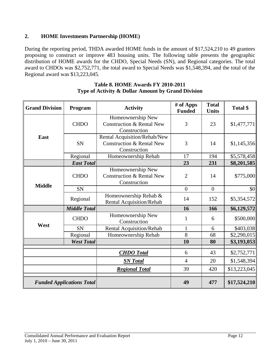## **2. HOME Investments Partnership (HOME)**

During the reporting period, THDA awarded HOME funds in the amount of \$17,524,210 to 49 grantees proposing to construct or improve 483 housing units. The following table presents the geographic distribution of HOME awards for the CHDO, Special Needs (SN), and Regional categories. The total award to CHDOs was \$2,752,771, the total award to Special Needs was \$1,548,394, and the total of the Regional award was \$13,223,045.

| <b>Grand Division</b>            | Program             | <b>Activity</b>                                                                      | # of Apps<br><b>Funded</b> | <b>Total</b><br><b>Units</b> | Total \$     |
|----------------------------------|---------------------|--------------------------------------------------------------------------------------|----------------------------|------------------------------|--------------|
|                                  | <b>CHDO</b>         | Homeownership New<br><b>Construction &amp; Rental New</b><br>Construction            | 3                          | 23                           | \$1,477,771  |
| East                             | <b>SN</b>           | Rental Acquisition/Rehab/New<br><b>Construction &amp; Rental New</b><br>Construction | 3                          | 14                           | \$1,145,356  |
|                                  | Regional            | Homeownership Rehab                                                                  | 17                         | 194                          | \$5,578,458  |
|                                  | <b>East Total</b>   |                                                                                      | 23                         | 231                          | \$8,201,585  |
|                                  | <b>CHDO</b>         | Homeownership New<br><b>Construction &amp; Rental New</b><br>Construction            | $\overline{2}$             | 14                           | \$775,000    |
| <b>Middle</b>                    | <b>SN</b>           |                                                                                      | $\overline{0}$             | $\overline{0}$               | \$0          |
|                                  | Regional            | Homeownership Rehab &<br>Rental Acquisition/Rehab                                    | 14                         | 152                          | \$5,354,572  |
|                                  | <b>Middle Total</b> |                                                                                      | 16                         | 166                          | \$6,129,572  |
| West                             | <b>CHDO</b>         | Homeownership New<br>Construction                                                    | 1                          | 6                            | \$500,000    |
|                                  | <b>SN</b>           | Rental Acquisition/Rehab                                                             | 1                          | 6                            | \$403,038    |
|                                  | Regional            | Homeownership Rehab                                                                  | 8                          | 68                           | \$2,290,015  |
| <b>West Total</b>                |                     |                                                                                      | 10                         | 80                           | \$3,193,053  |
|                                  |                     | <b>CHDO</b> Total                                                                    | 6                          | 43                           | \$2,752,771  |
|                                  |                     | <b>SN</b> Total                                                                      | $\overline{4}$             | 20                           | \$1,548,394  |
|                                  |                     | <b>Regional Total</b>                                                                | 39                         | 420                          | \$13,223,045 |
| <b>Funded Applications Total</b> |                     |                                                                                      | 49                         | 477                          | \$17,524,210 |

#### **Table 8. HOME Awards FY 2010-2011 Type of Activity & Dollar Amount by Grand Division**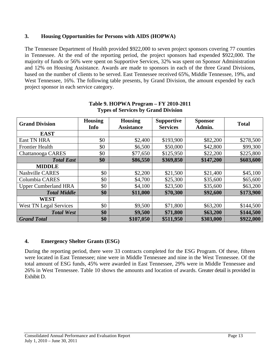## **3. Housing Opportunities for Persons with AIDS (HOPWA)**

The Tennessee Department of Health provided \$922,000 to seven project sponsors covering 77 counties in Tennessee. At the end of the reporting period, the project sponsors had expended \$922,000. The majority of funds or 56% were spent on Supportive Services, 32% was spent on Sponsor Administration and 12% on Housing Assistance. Awards are made to sponsors in each of the three Grand Divisions, based on the number of clients to be served. East Tennessee received 65%, Middle Tennessee, 19%, and West Tennessee, 16%. The following table presents, by Grand Division, the amount expended by each project sponsor in each service category.

| <b>Grand Division</b>         | <b>Housing</b><br>Info | <b>Housing</b><br><b>Assistance</b> | <b>Supportive</b><br><b>Services</b> | <b>Sponsor</b><br>Admin. | <b>Total</b> |
|-------------------------------|------------------------|-------------------------------------|--------------------------------------|--------------------------|--------------|
| <b>EAST</b>                   |                        |                                     |                                      |                          |              |
| <b>East TN HRA</b>            | \$0                    | \$2,400                             | \$193,900                            | \$82,200                 | \$278,500    |
| <b>Frontier Health</b>        | \$0                    | \$6,500                             | \$50,000                             | \$42,800                 | \$99,300     |
| Chattanooga CARES             | \$0                    | \$77,650                            | \$125,950                            | \$22,200                 | \$225,800    |
| <b>Total East</b>             | \$0                    | \$86,550                            | \$369,850                            | \$147,200                | \$603,600    |
| <b>MIDDLE</b>                 |                        |                                     |                                      |                          |              |
| <b>Nashville CARES</b>        | \$0                    | \$2,200                             | \$21,500                             | \$21,400                 | \$45,100     |
| Columbia CARES                | \$0                    | \$4,700                             | \$25,300                             | \$35,600                 | \$65,600     |
| <b>Upper Cumberland HRA</b>   | \$0                    | \$4,100                             | \$23,500                             | \$35,600                 | \$63,200     |
| <b>Total Middle</b>           | \$0                    | \$11,000                            | \$70,300                             | \$92,600                 | \$173,900    |
| <b>WEST</b>                   |                        |                                     |                                      |                          |              |
| <b>West TN Legal Services</b> | \$0                    | \$9,500                             | \$71,800                             | \$63,200                 | \$144,500    |
| <b>Total West</b>             | \$0                    | \$9,500                             | \$71,800                             | \$63,200                 | \$144,500    |
| <b>Grand Total</b>            | \$0                    | \$107,050                           | \$511,950                            | \$303,000                | \$922,000    |

#### **Table 9. HOPWA Program – FY 2010-2011 Types of Services by Grand Division**

## **4. Emergency Shelter Grants (ESG)**

During the reporting period, there were 33 contracts completed for the ESG Program. Of these, fifteen were located in East Tennessee; nine were in Middle Tennessee and nine in the West Tennessee. Of the total amount of ESG funds, 45% were awarded in East Tennessee, 29% were in Middle Tennessee and 26% in West Tennessee. Table 10 shows the amounts and location of awards. Greater detail is provided in Exhibit D.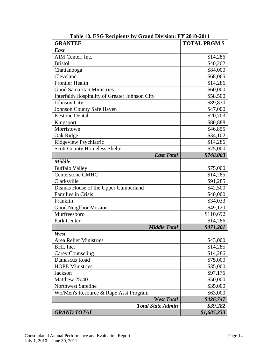| <b>GRANTEE</b>                                 | <b>TOTAL PRGM \$</b> |
|------------------------------------------------|----------------------|
| East                                           |                      |
| AIM Center, Inc.                               | \$14,286             |
| <b>Bristol</b>                                 | \$40,202             |
| Chattanooga                                    | \$84,000             |
| Cleveland                                      | \$68,065             |
| <b>Frontier Health</b>                         | \$14,286             |
| <b>Good Samaritan Ministries</b>               | \$60,000             |
| Interfaith Hospitality of Greater Johnson City | \$58,500             |
| <b>Johnson City</b>                            | \$89,830             |
| Johnson County Safe Haven                      | \$47,000             |
| <b>Kestone Dental</b>                          | \$20,703             |
| Kingsport                                      | \$80,888             |
| Morristown                                     | \$46,855             |
| Oak Ridge                                      | \$34,102             |
| Ridgeview Psychiatric                          | \$14,286             |
| <b>Scott County Homeless Shelter</b>           | \$75,000             |
| <b>East Total</b>                              | \$748,003            |
| <b>Middle</b>                                  |                      |
| <b>Buffalo Valley</b>                          | \$75,000             |
| <b>Centerstone CMHC</b>                        | \$14,285             |
| Clarksville                                    | \$91,285             |
| Dismas House of the Upper Cumberland           | \$42,500             |
| Families in Crisis                             | \$40,000             |
| Franklin                                       | \$34,033             |
| Good Neighbor Mission                          | \$49,120             |
| Murfreesboro                                   | \$110,692            |
| Park Center                                    | \$14,286             |
| <b>Middle Total</b>                            | \$471,201            |
| West                                           |                      |
| <b>Area Relief Ministries</b>                  | \$43,000             |
| BHI, Inc.                                      | \$14,285             |
| <b>Carey Counseling</b>                        | \$14,286             |
| Damascus Road                                  | \$75,000             |
| <b>HOPE Ministries</b>                         | \$35,000             |
| <b>Jackson</b>                                 | \$97,176             |
| Matthew 25:40                                  | \$50,000             |
| <b>Northwest Safeline</b>                      | \$35,000             |
| Wo/Men's Resource & Rape Asst Program          | \$63,000             |
| <b>West Total</b>                              | \$426,747            |
| <b>Total State Admin</b>                       | \$39,282             |
| <b>GRAND TOTAL</b>                             | \$1,685,233          |

**Table 10. ESG Recipients by Grand Division: FY 2010-2011**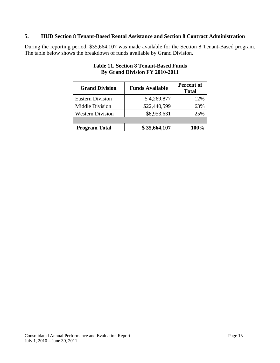#### **5. HUD Section 8 Tenant-Based Rental Assistance and Section 8 Contract Administration**

During the reporting period, \$35,664,107 was made available for the Section 8 Tenant-Based program. The table below shows the breakdown of funds available by Grand Division.

| <b>Grand Division</b>   | <b>Funds Available</b> | <b>Percent of</b><br><b>Total</b> |
|-------------------------|------------------------|-----------------------------------|
| <b>Eastern Division</b> | \$4,269,877            | 12%                               |
| Middle Division         | \$22,440,599           | 63%                               |
| <b>Western Division</b> | \$8,953,631            | 25%                               |
|                         |                        |                                   |
| <b>Program Total</b>    | \$35,664,107           | 100%                              |

## **Table 11. Section 8 Tenant-Based Funds By Grand Division FY 2010-2011**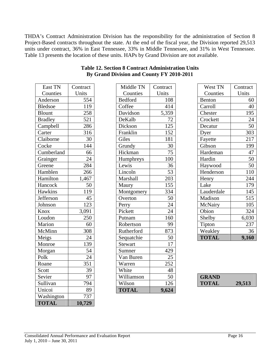THDA's Contract Administration Division has the responsibility for the administration of Section 8 Project-Based contracts throughout the state. At the end of the fiscal year, the Division reported 29,513 units under contract, 36% in East Tennessee, 33% in Middle Tennessee, and 31% in West Tennessee. Table 13 presents the location of these units. HAPs by Grand Division are not available.

| East TN        | Contract       | Middle TN      | Contract        |
|----------------|----------------|----------------|-----------------|
| Counties       | Units          | Counties       | Units           |
| Anderson       | 554            | <b>Bedford</b> | 108             |
| <b>Bledsoe</b> | 119            | Coffee         | 414             |
| <b>Blount</b>  | 258            | Davidson       | 5,359           |
| <b>Bradley</b> | 521            | DeKalb         | 72              |
| Campbell       | 286            | Dickson        | 125             |
| Carter         | 316            | Franklin       | 152             |
| Claiborne      | 30             | Giles          | 181             |
| Cocke          | 144            | Grundy         | 30              |
| Cumberland     | 66             | Hickman        | 75              |
| Grainger       | 24             | Humphreys      | 100             |
| Greene         | 284            | Lewis          | 36              |
| Hamblen        | 266            | Lincoln        | 53              |
| Hamilton       | 1,467          | Marshall       | 203             |
| Hancock        | 50             | Maury          | 155             |
| Hawkins        | <sup>119</sup> | Montgomery     | 334             |
| Jefferson      | 45             | Overton        | 50              |
| Johnson        | 123            | Perry          | $\overline{24}$ |
| Knox           | 3,091          | Pickett        | 24              |
| Loudon         | 250            | Putnam         | 160             |
| Marion         | 60             | Robertson      | 99              |
| McMinn         | 308            | Rutherford     | 873             |
| Meigs          | 24             | Sequatchie     | 50              |
| Monroe         | 139            | Stewart        | 17              |
| Morgan         | 54             | Sumner         | 429             |
| Polk           | 24             | Van Buren      | 25              |
| Roane          | 351            | Warren         | 252             |
| Scott          | 39             | White          | 48              |
| Sevier         | 97             | Williamson     | 50              |
| Sullivan       | 794            | Wilson         | 126             |
| Unicoi         | 89             | <b>TOTAL</b>   | 9,624           |
| Washington     | 737            |                |                 |
| <b>TOTAL</b>   | 10,729         |                |                 |

| East TN        | Contract        | Middle TN    | Contract | West TN      | Contract        |
|----------------|-----------------|--------------|----------|--------------|-----------------|
| Counties       | Units           | Counties     | Units    | Counties     | Units           |
| Anderson       | 554             | Bedford      | 108      | Benton       | 60              |
| <b>Bledsoe</b> | 119             | Coffee       | 414      | Carroll      | 40              |
| Blount         | 258             | Davidson     | 5,359    | Chester      | 195             |
| <b>Bradley</b> | 521             | DeKalb       | 72       | Crockett     | 24              |
| Campbell       | 286             | Dickson      | 125      | Decatur      | 50              |
| Carter         | 316             | Franklin     | 152      | Dyer         | 303             |
| Claiborne      | 30              | Giles        | 181      | Fayette      | 217             |
| Cocke          | 144             | Grundy       | 30       | Gibson       | 199             |
| Cumberland     | 66              | Hickman      | 75       | Hardeman     | 47              |
| Grainger       | $\overline{24}$ | Humphreys    | 100      | Hardin       | $\overline{50}$ |
| Greene         | 284             | Lewis        | 36       | Haywood      | 50              |
| Hamblen        | 266             | Lincoln      | 53       | Henderson    | 110             |
| Hamilton       | 1,467           | Marshall     | 203      | Henry        | 244             |
| Hancock        | 50              | Maury        | 155      | Lake         | 179             |
| <b>Hawkins</b> | 119             | Montgomery   | 334      | Lauderdale   | 145             |
| Jefferson      | 45              | Overton      | 50       | Madison      | 515             |
| Johnson        | 123             | Perry        | 24       | McNairy      | 105             |
| Knox           | 3,091           | Pickett      | 24       | Obion        | 324             |
| Loudon         | 250             | Putnam       | 160      | Shelby       | 6,030           |
| Marion         | 60              | Robertson    | 99       | Tipton       | 237             |
| McMinn         | 308             | Rutherford   | 873      | Weakley      | 36              |
| Meigs          | 24              | Sequatchie   | 50       | <b>TOTAL</b> | 9,160           |
| Monroe         | 139             | Stewart      | 17       |              |                 |
| Morgan         | 54              | Sumner       | 429      |              |                 |
| Polk           | 24              | Van Buren    | 25       |              |                 |
| Roane          | 351             | Warren       | 252      |              |                 |
| Scott          | 39              | White        | 48       |              |                 |
| Sevier         | 97              | Williamson   | 50       | <b>GRAND</b> |                 |
| Sullivan       | 794             | Wilson       | 126      | <b>TOTAL</b> | 29,513          |
| Unicoi         | 89              | <b>TOTAL</b> | 9.624    |              |                 |

## **Table 12. Section 8 Contract Administration Units By Grand Division and County FY 2010-2011**

| West TN       | Contract |
|---------------|----------|
| Counties      | Units    |
| <b>Benton</b> | 60       |
| Carroll       | 40       |
| Chester       | 195      |
| Crockett      | 24       |
| Decatur       | 50       |
| Dyer          | 303      |
| Fayette       | 217      |
| Gibson        | 199      |
| Hardeman      | 47       |
| Hardin        | 50       |
| Haywood       | 50       |
| Henderson     | 110      |
| Henry         | 244      |
| Lake          | 179      |
| Lauderdale    | 145      |
| Madison       | 515      |
| McNairy       | 105      |
| Obion         | 324      |
| Shelby        | 6,030    |
| Tipton        | 237      |
| Weakley       | 36       |
| <b>TOTAL</b>  | 9,160    |

| <b>GRAND</b> |        |
|--------------|--------|
| <b>TOTAL</b> | 29,513 |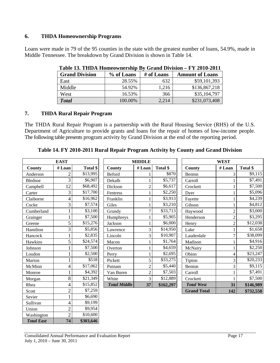#### **6. THDA Homeownership Programs**

Loans were made in 79 of the 95 counties in the state with the greatest number of loans, 54.9%, made in Middle Tennessee. The breakdown by Grand Division is shown in Table 14.

| <b>LADIC 13. LITDA HUMCOWNCI SMIP DV GLANU DIVISION – F L 2010-2011</b> |            |            |                        |  |  |  |
|-------------------------------------------------------------------------|------------|------------|------------------------|--|--|--|
| <b>Grand Division</b>                                                   | % of Loans | # of Loans | <b>Amount of Loans</b> |  |  |  |
| East                                                                    | 28.55%     | 632        | \$59,101,393           |  |  |  |
| Middle                                                                  | 54.92%     | 1.216      | \$136,867,218          |  |  |  |
| West                                                                    | 16.53%     | 366        | \$35,104,797           |  |  |  |
| <b>Total</b>                                                            | 100.00%    | 2,214      | \$231,073,408          |  |  |  |

**Table 13. THDA Homeownership By Grand Division – FY 2010-2011**

## **7. THDA Rural Repair Program**

The THDA Rural Repair Program is a partnership with the Rural Housing Service (RHS) of the U.S. Department of Agriculture to provide grants and loans for the repair of homes of low-income people. The following table presents program activity by Grand Division at the end of the reporting period.

| <b>EAST</b>    |                |          |                     | <b>MIDDLE</b>  |           |                    | <b>WEST</b>    |           |  |
|----------------|----------------|----------|---------------------|----------------|-----------|--------------------|----------------|-----------|--|
| County         | #Loan          | Total \$ | County              | # Loan         | Total \$  | <b>County</b>      | #Loan          | Total \$  |  |
| Anderson       | $\overline{c}$ | \$13,995 | <b>Beford</b>       |                | \$870     | Benton             | 3              | \$9,115   |  |
| <b>Bledsoe</b> | 3              | \$6,907  | Dekalb              |                | \$5,737   | Carroll            |                | \$7,491   |  |
| Campbell       | 12             | \$68,492 | Dickson             | $\overline{c}$ | \$6,617   | Crockett           |                | \$7,500   |  |
| Carter         | 3              | \$17,700 | Fentress            |                | \$2,250   | Dyer               |                | \$5,096   |  |
| Claiborne      | 4              | \$16,962 | Franklin            |                | \$3,913   | Fayette            |                | \$4,239   |  |
| Cocke          | 3              | \$7,574  | Giles               | 1              | \$3,210   | Gibson             |                | \$4,812   |  |
| Cumberland     | 1              | \$3,100  | Grundy              | 7              | \$33,713  | Haywood            | $\overline{2}$ | \$3,000   |  |
| Grainger       | 1              | \$7,500  | Humphreys           |                | \$5,905   | Henderson          | $\overline{c}$ | \$3,295   |  |
| Greene         | 5              | \$15,276 | Jackson             |                | \$6,000   | Henry              | $\overline{2}$ | \$12,038  |  |
| Hamilton       | 3              | \$5,856  | Lawrence            | 3              | \$14,950  | Lake               |                | \$1,658   |  |
| Hancock        | $\mathbf{1}$   | \$2,835  | Lincoln             | 3              | \$10,907  | Lauderdale         | 7              | \$38,099  |  |
| Hawkins        | 5              | \$24,574 | Macon               |                | \$1,764   | Madison            |                | \$4,916   |  |
| Johnson        | $\mathbf{1}$   | \$7,500  | Overton             |                | \$4,659   | McNairy            |                | \$2,250   |  |
| Loudon         | $\mathbf{1}$   | \$2,500  | Perry               |                | \$2,695   | Obion              | 4              | \$23,247  |  |
| Marion         | $\mathbf{1}$   | \$518    | Pickett             | 5              | \$33,275  | Tipton             | 3              | \$20,233  |  |
| McMinn         | 4              | \$17,062 | Putnam              | $\overline{c}$ | \$5,440   | Benton             | 3              | \$9,115   |  |
| Monroe         | $\mathbf{1}$   | \$4,392  | Van Buren           | $\overline{c}$ | \$7,503   | Carroll            |                | \$7,491   |  |
| Morgan         | 8              | \$21,349 | White               | 3              | \$12,889  | Crockett           |                | \$7,500   |  |
| Rhea           | 4              | \$15,852 | <b>Total Middle</b> | 37             | \$162,297 | <b>Total West</b>  | 31             | \$146,989 |  |
| Scott          | $\overline{2}$ | \$7,259  |                     |                |           | <b>Grand Total</b> | 142            | \$732,558 |  |
| Sevier         | $\mathbf{1}$   | \$6,690  |                     |                |           |                    |                |           |  |
| Sullivan       | $\overline{4}$ | \$9,199  |                     |                |           |                    |                |           |  |
| Union          | $\overline{c}$ | \$9,954  |                     |                |           |                    |                |           |  |
| Washington     | $\overline{2}$ | \$10,600 |                     |                |           |                    |                |           |  |

**Table 14. FY 2010-2011 Rural Repair Program Activity by County and Grand Division** 

*Total East* **74 \$303,646**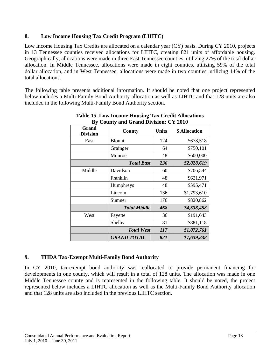## **8. Low Income Housing Tax Credit Program (LIHTC)**

Low Income Housing Tax Credits are allocated on a calendar year (CY) basis. During CY 2010, projects in 13 Tennessee counties received allocations for LIHTC, creating 821 units of affordable housing. Geographically, allocations were made in three East Tennessee counties, utilizing 27% of the total dollar allocation. In Middle Tennessee, allocations were made in eight counties, utilizing 59% of the total dollar allocation, and in West Tennessee, allocations were made in two counties, utilizing 14% of the total allocations.

The following table presents additional information. It should be noted that one project represented below includes a Multi-Family Bond Authority allocation as well as LIHTC and that 128 units are also included in the following Multi-Family Bond Authority section.

| Grand<br><b>Division</b> | County              | <b>Units</b> | \$ Allocation |
|--------------------------|---------------------|--------------|---------------|
| East                     | <b>Blount</b>       | 124          | \$678,518     |
|                          | Grainger            | 64           | \$750,101     |
|                          | Monroe              | 48           | \$600,000     |
|                          | <b>Total East</b>   | 236          | \$2,028,619   |
| Middle                   | Davidson            | 60           | \$706,544     |
|                          | Franklin            | 48           | \$621,971     |
|                          | Humphreys           | 48           | \$595,471     |
|                          | Lincoln             | 136          | \$1,793,610   |
|                          | Sumner              | 176          | \$820,862     |
|                          | <b>Total Middle</b> | 468          | \$4,538,458   |
| West                     | Fayette             | 36           | \$191,643     |
|                          | Shelby              | 81           | \$881,118     |
|                          | <b>Total West</b>   | 117          | \$1,072,761   |
|                          | <b>GRAND TOTAL</b>  | 821          | \$7,639,838   |

## **Table 15. Low Income Housing Tax Credit Allocations By County and Grand Division: CY 2010**

## **9. THDA Tax-Exempt Multi-Family Bond Authority**

In CY 2010, tax-exempt bond authority was reallocated to provide permanent financing for developments in one county, which will result in a total of 128 units. The allocation was made in one Middle Tennessee county and is represented in the following table. It should be noted, the project represented below includes a LIHTC allocation as well as the Multi-Family Bond Authority allocation and that 128 units are also included in the previous LIHTC section.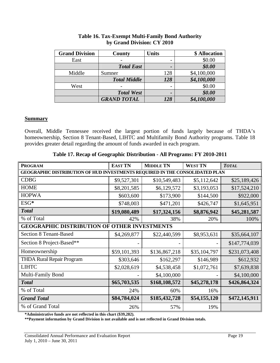| <b>Grand Division</b> | County              | <b>Units</b>             | \$ Allocation |
|-----------------------|---------------------|--------------------------|---------------|
| East                  |                     |                          | \$0.00        |
|                       | <b>Total East</b>   |                          | \$0.00        |
| Middle                | Sumner              | 128                      | \$4,100,000   |
|                       | <b>Total Middle</b> | 128                      | \$4,100,000   |
| West                  |                     | $\overline{\phantom{0}}$ | \$0.00        |
|                       | <b>Total West</b>   |                          | \$0.00        |
|                       | <b>GRAND TOTAL</b>  | 128                      | \$4,100,000   |

#### **Table 16. Tax-Exempt Multi-Family Bond Authority by Grand Division: CY 2010**

#### **Summary**

Overall, Middle Tennessee received the largest portion of funds largely because of THDA's homeownership, Section 8 Tenant-Based, LIHTC and Multifamily Bond Authority programs. Table 18 provides greater detail regarding the amount of funds awarded in each program.

| <b>PROGRAM</b>                                                               | <b>EAST TN</b> | <b>MIDDLE TN</b> | <b>WEST TN</b> | <b>TOTAL</b>  |  |
|------------------------------------------------------------------------------|----------------|------------------|----------------|---------------|--|
| GEOGRAPHIC DISTRIBUTION OF HUD INVESTMENTS REQUIRED IN THE CONSOLIDATED PLAN |                |                  |                |               |  |
| <b>CDBG</b>                                                                  | \$9,527,301    | \$10,549,483     | \$5,112,642    | \$25,189,426  |  |
| <b>HOME</b>                                                                  | \$8,201,585    | \$6,129,572      | \$3,193,053    | \$17,524,210  |  |
| <b>HOPWA</b>                                                                 | \$603,600      | \$173,900        | \$144,500      | \$922,000     |  |
| ESG*                                                                         | \$748,003      | \$471,201        | \$426,747      | \$1,645,951   |  |
| <b>Total</b>                                                                 | \$19,080,489   | \$17,324,156     | \$8,876,942    | \$45,281,587  |  |
| % of Total                                                                   | 42%            | 38%              | 20%            | 100%          |  |
| <b>OTHER INVESTMENTS</b><br><b>GEOGRAPHIC DISTRIBUTION OF</b>                |                |                  |                |               |  |
| <b>Section 8 Tenant-Based</b>                                                | \$4,269,877    | \$22,440,599     | \$8,953,631    | \$35,664,107  |  |
| Section 8 Project-Based**                                                    |                |                  |                | \$147,774,039 |  |
| Homeownership                                                                | \$59,101,393   | \$136,867,218    | \$35,104,797   | \$231,073,408 |  |
| <b>THDA Rural Repair Program</b>                                             | \$303,646      | \$162,297        | \$146,989      | \$612,932     |  |
| <b>LIHTC</b>                                                                 | \$2,028,619    | \$4,538,458      | \$1,072,761    | \$7,639,838   |  |
| Multi-Family Bond                                                            |                | \$4,100,000      |                | \$4,100,000   |  |
| <b>Total</b>                                                                 | \$65,703,535   | \$168,108,572    | \$45,278,178   | \$426,864,324 |  |
| % of Total                                                                   | 24%            | 60%              | 16%            |               |  |
| <b>Grand Total</b>                                                           | \$84,784,024   | \$185,432,728    | \$54,155,120   | \$472,145,911 |  |
| % of Grand Total                                                             | 26%            | 57%              | 19%            |               |  |

|  |  | Table 17. Recap of Geographic Distribution - All Programs: FY 2010-2011 |  |
|--|--|-------------------------------------------------------------------------|--|
|  |  |                                                                         |  |

**\*Administrative funds are not reflected in this chart (\$39,282).** 

**\*\*Payment information by Grand Division is not available and is not reflected in Grand Division totals.**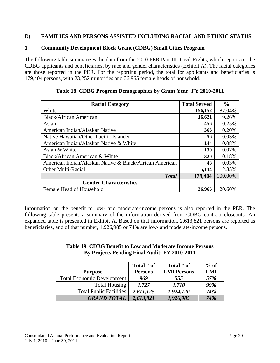## **D) FAMILIES AND PERSONS ASSISTED INCLUDING RACIAL AND ETHNIC STATUS**

#### **1. Community Development Block Grant (CDBG) Small Cities Program**

The following table summarizes the data from the 2010 PER Part III: Civil Rights, which reports on the CDBG applicants and beneficiaries, by race and gender characteristics (Exhibit A). The racial categories are those reported in the PER. For the reporting period, the total for applicants and beneficiaries is 179,404 persons, with 23,252 minorities and 36,965 female heads of household.

| <b>Racial Category</b>                                  | <b>Total Served</b> | $\frac{6}{6}$ |
|---------------------------------------------------------|---------------------|---------------|
| White                                                   | 156,152             | 87.04%        |
| <b>Black/African American</b>                           | 16,621              | 9.26%         |
| Asian                                                   | 456                 | 0.25%         |
| American Indian/Alaskan Native                          | 363                 | 0.20%         |
| Native Hawaiian/Other Pacific Islander                  | 56                  | 0.03%         |
| American Indian/Alaskan Native & White                  | 144                 | 0.08%         |
| Asian & White                                           | <b>130</b>          | 0.07%         |
| Black/African American & White                          | <b>320</b>          | 0.18%         |
| American Indian/Alaskan Native & Black/African American | 48                  | 0.03%         |
| Other Multi-Racial                                      | 5,114               | 2.85%         |
| <b>Total</b>                                            | 179,404             | 100.00%       |
| <b>Gender Characteristics</b>                           |                     |               |
| Female Head of Household                                | 36,965              | 20.60%        |

#### **Table 18. CDBG Program Demographics by Grant Year: FY 2010-2011**

Information on the benefit to low- and moderate-income persons is also reported in the PER. The following table presents a summary of the information derived from CDBG contract closeouts. An expanded table is presented in Exhibit A. Based on that information, 2,613,821 persons are reported as beneficiaries, and of that number, 1,926,985 or 74% are low- and moderate-income persons.

#### **Table 19**. **CDBG Benefit to Low and Moderate Income Persons By Projects Pending Final Audit: FY 2010-2011**

|                                   | Total # of     | Total # of         | $%$ of |
|-----------------------------------|----------------|--------------------|--------|
| <b>Purpose</b>                    | <b>Persons</b> | <b>LMI Persons</b> | LMI    |
| <b>Total Economic Development</b> | 969            | 555                | 57%    |
| <b>Total Housing</b>              | 1.727          | 1,710              | 99%    |
| <b>Total Public Facilities</b>    | 2,611,125      | 1,924,720          | 74%    |
| <b>GRAND TOTAL</b>                | 2,613,821      | 1,926,985          | 74%    |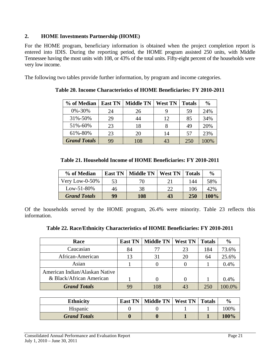## **2. HOME Investments Partnership (HOME)**

For the HOME program, beneficiary information is obtained when the project completion report is entered into IDIS. During the reporting period, the HOME program assisted 250 units, with Middle Tennessee having the most units with 108, or 43% of the total units. Fifty-eight percent of the households were very low income.

The following two tables provide further information, by program and income categories.

| % of Median         | <b>East TN</b> | <b>Middle TN</b> | <b>West TN</b> | <b>Totals</b> | $\frac{0}{0}$ |
|---------------------|----------------|------------------|----------------|---------------|---------------|
| $0\% - 30\%$        | 24             | 26               | 9              | 59            | 24%           |
| 31%-50%             | 29             | 44               | 12             | 85            | 34%           |
| 51%-60%             | 23             | 18               |                | 49            | 20%           |
| 61%-80%             | 23             | 20               | 14             | 57            | 23%           |
| <b>Grand Totals</b> | 99             | 108              | 43             | 250           | 100%          |

**Table 20. Income Characteristics of HOME Beneficiaries: FY 2010-2011** 

| % of Median         | <b>East TN</b> | <b>Middle TN</b> | <b>West TN</b> | <b>Totals</b> | $\frac{0}{0}$ |
|---------------------|----------------|------------------|----------------|---------------|---------------|
| Very Low-0-50\%     | 53             | 70               | 21             | 144           | 58%           |
| $Low-51-80%$        | 46             | 38               | つつ             | 106           | 42%           |
| <b>Grand Totals</b> | 99             | 108              | 43             | 250           | 100%          |

Of the households served by the HOME program, 26.4% were minority. Table 23 reflects this information.

| Race                           | <b>East TN</b> | <b>Middle TN</b> | <b>West TN</b> | <b>Totals</b> | $\frac{6}{9}$ |
|--------------------------------|----------------|------------------|----------------|---------------|---------------|
| Caucasian                      | 84             | 77               | 23             | 184           | 73.6%         |
| African-American               | 13             | 31               | 20             | 64            | 25.6%         |
| Asian                          |                |                  |                |               | 0.4%          |
| American Indian/Alaskan Native |                |                  |                |               |               |
| & Black/African American       |                |                  |                |               | 0.4%          |
| <b>Grand Totals</b>            |                | 108              | 43             | 250           | 00.O%         |

| <b>Ethnicity</b>    | <b>East TN</b> | Middle TN   West TN   Totals |  | $\frac{6}{9}$ |
|---------------------|----------------|------------------------------|--|---------------|
| Hispanic            |                |                              |  | 100%          |
| <b>Grand Totals</b> |                |                              |  | 100%          |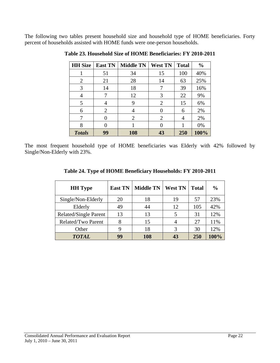The following two tables present household size and household type of HOME beneficiaries. Forty percent of households assisted with HOME funds were one-person households.

| <b>HH</b> Size | <b>East TN</b> | <b>Middle TN</b> | <b>West TN</b> | <b>Total</b> | $\frac{0}{0}$ |
|----------------|----------------|------------------|----------------|--------------|---------------|
|                | 51             | 34               | 15             | 100          | 40%           |
| 2              | 21             | 28               | 14             | 63           | 25%           |
| 3              | 14             | 18               | 7              | 39           | 16%           |
| 4              |                | 12               | 3              | 22           | 9%            |
| 5              | 4              | 9                | 2              | 15           | 6%            |
| 6              | $\overline{2}$ |                  | $\theta$       | 6            | 2%            |
| 7              | $\mathbf{0}$   | 2                | 2              | 4            | 2%            |
| 8              |                |                  | 0              |              | 0%            |
| <b>Totals</b>  | 99             | 108              | 43             | 250          | 100%          |

**Table 23. Household Size of HOME Beneficiaries: FY 2010-2011** 

The most frequent household type of HOME beneficiaries was Elderly with 42% followed by Single/Non-Elderly with 23%.

| <b>HH</b> Type               | <b>East TN</b> | <b>Middle TN</b> | <b>West TN</b> | <b>Total</b> | $\frac{0}{0}$ |
|------------------------------|----------------|------------------|----------------|--------------|---------------|
| Single/Non-Elderly           | 20             | 18               | 19             | 57           | 23%           |
| Elderly                      | 49             | 44               | 12             | 105          | 42%           |
| <b>Related/Single Parent</b> | 13             | 13               | 5              | 31           | 12%           |
| Related/Two Parent           |                | 15               |                | 27           | 11%           |
| Other                        | 9              | 18               |                | 30           | 12%           |
| <b>TOTAL</b>                 | 99             | 108              |                | 250          | 100%          |

**Table 24. Type of HOME Beneficiary Households: FY 2010-2011**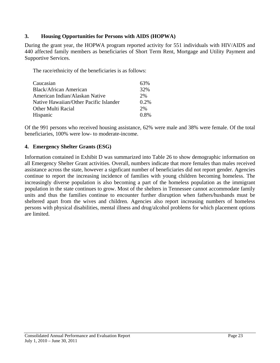## **3. Housing Opportunities for Persons with AIDS (HOPWA)**

During the grant year, the HOPWA program reported activity for 551 individuals with HIV/AIDS and 440 affected family members as beneficiaries of Short Term Rent, Mortgage and Utility Payment and Supportive Services.

The race/ethnicity of the beneficiaries is as follows:

| Caucasian                              | 63%     |
|----------------------------------------|---------|
| <b>Black/African American</b>          | 32%     |
| American Indian/Alaskan Native         | 2%      |
| Native Hawaiian/Other Pacific Islander | $0.2\%$ |
| Other Multi Racial                     | 2%      |
| Hispanic                               | $0.8\%$ |

Of the 991 persons who received housing assistance, 62% were male and 38% were female. Of the total beneficiaries, 100% were low- to moderate-income.

## **4. Emergency Shelter Grants (ESG)**

Information contained in Exhibit D was summarized into Table 26 to show demographic information on all Emergency Shelter Grant activities. Overall, numbers indicate that more females than males received assistance across the state, however a signficant number of beneficiaries did not report gender. Agencies continue to report the increasing incidence of families with young children becoming homeless. The increasingly diverse population is also becoming a part of the homeless population as the immigrant population in the state continues to grow. Most of the shelters in Tennessee cannot accommodate family units and thus the families continue to encounter further disruption when fathers/husbands must be sheltered apart from the wives and children. Agencies also report increasing numbers of homeless persons with physical disabilities, mental illness and drug/alcohol problems for which placement options are limited.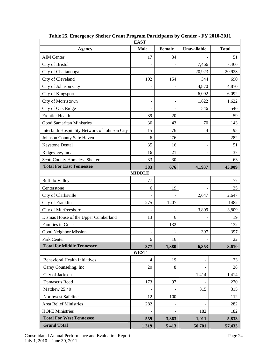| <b>EAST</b>                                    |                |               |             |              |  |  |  |  |  |  |
|------------------------------------------------|----------------|---------------|-------------|--------------|--|--|--|--|--|--|
| <b>Agency</b>                                  | <b>Male</b>    | <b>Female</b> | Unavailable | <b>Total</b> |  |  |  |  |  |  |
| <b>AIM Center</b>                              | 17             | 34            |             | 51           |  |  |  |  |  |  |
| City of Bristol                                |                |               | 7,466       | 7,466        |  |  |  |  |  |  |
| City of Chattanooga                            |                |               | 20,923      | 20,923       |  |  |  |  |  |  |
| City of Cleveland                              | 192            | 154           | 344         | 690          |  |  |  |  |  |  |
| City of Johnson City                           |                |               | 4,870       | 4,870        |  |  |  |  |  |  |
| City of Kingsport                              |                |               | 6,092       | 6,092        |  |  |  |  |  |  |
| City of Morristown                             | $\blacksquare$ |               | 1,622       | 1,622        |  |  |  |  |  |  |
| City of Oak Ridge                              |                |               | 546         | 546          |  |  |  |  |  |  |
| <b>Frontier Health</b>                         | 39             | 20            |             | 59           |  |  |  |  |  |  |
| <b>Good Samaritan Ministries</b>               | 30             | 43            | 70          | 143          |  |  |  |  |  |  |
| Interfaith Hospitality Network of Johnson City | 15             | 76            | 4           | 95           |  |  |  |  |  |  |
| Johnson County Safe Haven                      | 6              | 276           |             | 282          |  |  |  |  |  |  |
| Keystone Dental                                | 35             | 16            |             | 51           |  |  |  |  |  |  |
| Ridgeview, Inc.                                | 16             | 21            |             | 37           |  |  |  |  |  |  |
| Scott County Homeless Shelter                  | 33             | 30            |             | 63           |  |  |  |  |  |  |
| <b>Total For East Tennessee</b>                | 383            | 676           | 41,937      | 43,009       |  |  |  |  |  |  |
| <b>MIDDLE</b>                                  |                |               |             |              |  |  |  |  |  |  |
| <b>Buffalo Valley</b>                          | 77             |               |             | 77           |  |  |  |  |  |  |
| Centerstone                                    | 6              | 19            |             | 25           |  |  |  |  |  |  |
| City of Clarksville                            |                |               | 2,647       | 2,647        |  |  |  |  |  |  |
| City of Franklin                               | 275            | 1207          |             | 1482         |  |  |  |  |  |  |
| City of Murfreesboro                           |                |               | 3,809       | 3,809        |  |  |  |  |  |  |
| Dismas House of the Upper Cumberland           | 13             | 6             |             | 19           |  |  |  |  |  |  |
| Families in Crisis                             |                | 132           |             | 132          |  |  |  |  |  |  |
| Good Neighbor Mission                          |                |               | 397         | 397          |  |  |  |  |  |  |
| Park Center                                    | 6              | 16            |             | 22           |  |  |  |  |  |  |
| <b>Total for Middle Tennessee</b>              | 377            | 1,380         | 6,853       | 8,610        |  |  |  |  |  |  |
|                                                | <b>WEST</b>    |               |             |              |  |  |  |  |  |  |
| <b>Behavioral Health Initiatives</b>           | $\overline{4}$ | 19            |             | 23           |  |  |  |  |  |  |
| Carey Counseling, Inc.                         | 20             | $\,8\,$       |             | 28           |  |  |  |  |  |  |
| City of Jackson                                |                |               | 1,414       | 1,414        |  |  |  |  |  |  |
| Damascus Road                                  | 173            | 97            |             | 270          |  |  |  |  |  |  |
| Matthew 25:40                                  |                |               | 315         | 315          |  |  |  |  |  |  |
| Northwest Safeline                             | 12             | 100           |             | 112          |  |  |  |  |  |  |
| <b>Area Relief Ministries</b>                  | 282            |               |             | 282          |  |  |  |  |  |  |
| <b>HOPE Ministries</b>                         |                |               | 182         | 182          |  |  |  |  |  |  |
| <b>Total For West Tennessee</b>                | 559            | 3,363         | 1,911       | 5,833        |  |  |  |  |  |  |
| <b>Grand Total</b>                             | 1,319          | 5,413         | 50,701      | 57,433       |  |  |  |  |  |  |

**Table 25. Emergency Shelter Grant Program Participants by Gender - FY 2010-2011**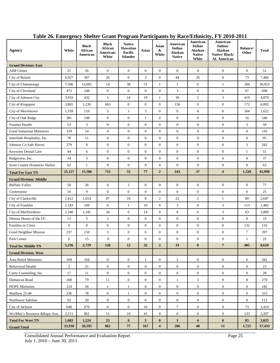| Agency                        | White            | <b>Black</b><br>African<br>American | <b>Black</b><br>African<br>American/<br>White | <b>Native</b><br><b>Hawaiian</b><br>Pacific<br><b>Islander</b> | Asian            | Asian<br>&<br>White     | American<br>Indian<br><b>Alaskan</b><br><b>Native</b> | American<br>Indian<br>Alaskan<br><b>Native</b><br>White | American<br>Indian/<br>Alaskan<br>Native/Black/<br>Af. American | <b>Balance</b> /<br>Other | Total  |
|-------------------------------|------------------|-------------------------------------|-----------------------------------------------|----------------------------------------------------------------|------------------|-------------------------|-------------------------------------------------------|---------------------------------------------------------|-----------------------------------------------------------------|---------------------------|--------|
| <b>Grand Division: East</b>   |                  |                                     |                                               |                                                                |                  |                         |                                                       |                                                         |                                                                 |                           |        |
| AIM Center                    | 25               | 26                                  | $\mathbf{0}$                                  | $\boldsymbol{0}$                                               | $\boldsymbol{0}$ | $\mathbf{0}$            | $\boldsymbol{0}$                                      | $\boldsymbol{0}$                                        | $\boldsymbol{0}$                                                | $\boldsymbol{0}$          | 51     |
| City of Bristol               | 6,927            | 367                                 | 26                                            | $\boldsymbol{0}$                                               | 3                | $\overline{0}$          | 44                                                    | 26                                                      | $\mathbf{0}$                                                    | 73                        | 7,466  |
| City of Chattanooga           | 7,506            | 13,001                              | 14                                            | 38                                                             | 51               | $\mathbf{1}$            | 1                                                     | 6                                                       | $\mathbf{1}$                                                    | 304                       | 20,923 |
| City of Cleveland             | 472              | 148                                 | $\overline{0}$                                | $\boldsymbol{0}$                                               | $\overline{0}$   | $\overline{0}$          | 3                                                     | $\boldsymbol{0}$                                        | $\theta$                                                        | 67                        | 690    |
| City of Johnson City          | 3,933            | 432                                 | 5                                             | 14                                                             | 19               | $\mathbf{1}$            | 39                                                    | 5                                                       | 3                                                               | 419                       | 4,870  |
| City of Kingsport             | 3,865            | 1,236                               | 663                                           | $\boldsymbol{0}$                                               | $\boldsymbol{0}$ | $\mathbf{0}$            | 156                                                   | $\boldsymbol{0}$                                        | $\boldsymbol{0}$                                                | 172                       | 6,092  |
| City of Morristown            | 1,339            | 110                                 | 5                                             | $\mathbf{1}$                                                   | 3                | $\mathbf{0}$            | $\boldsymbol{0}$                                      | $\boldsymbol{0}$                                        | $\boldsymbol{0}$                                                | 164                       | 1,622  |
| City of Oak Ridge             | 381              | 148                                 | $\mathbf{0}$                                  | $\boldsymbol{0}$                                               | $\mathbf{1}$     | $\mathbf{0}$            | $\boldsymbol{0}$                                      | $\boldsymbol{0}$                                        | $\boldsymbol{0}$                                                | 16                        | 546    |
| <b>Frontier Health</b>        | 53               | 3                                   | $\boldsymbol{0}$                              | $\boldsymbol{0}$                                               | $\boldsymbol{0}$ | $\mathbf{0}$            | $\boldsymbol{0}$                                      | $\boldsymbol{0}$                                        | $\mathbf{0}$                                                    | 3                         | 59     |
| Good Samaritan Ministries     | 129              | 14                                  | $\boldsymbol{0}$                              | $\boldsymbol{0}$                                               | $\boldsymbol{0}$ | $\mathbf{0}$            | $\boldsymbol{0}$                                      | $\boldsymbol{0}$                                        | $\boldsymbol{0}$                                                | $\boldsymbol{0}$          | 143    |
| Interfaith Hospitality, Inc.  | 78               | 11                                  | $\boldsymbol{0}$                              | $\boldsymbol{0}$                                               | $\boldsymbol{0}$ | $\mathbf{0}$            | $\boldsymbol{0}$                                      | $\boldsymbol{0}$                                        | $\boldsymbol{0}$                                                | 6                         | 95     |
| Johnson Co Safe Haven         | 279              | $\boldsymbol{0}$                    | $\mathbf{0}$                                  | $\boldsymbol{0}$                                               | $\boldsymbol{0}$ | $\mathbf{0}$            | $\boldsymbol{0}$                                      | $\boldsymbol{0}$                                        | $\boldsymbol{0}$                                                | 3                         | 282    |
| Keystone Dental Care          | 44               | 6                                   | $\boldsymbol{0}$                              | $\boldsymbol{0}$                                               | $\mathbf{0}$     | $\overline{0}$          | $\overline{0}$                                        | $\overline{0}$                                          | $\mathbf{0}$                                                    | $\mathbf{1}$              | 51     |
| Ridgeview, Inc.               | 34               | 3                                   | $\boldsymbol{0}$                              | $\boldsymbol{0}$                                               | $\mathbf{0}$     | $\mathbf{0}$            | $\mathbf{0}$                                          | $\boldsymbol{0}$                                        | $\mathbf{0}$                                                    | $\mathbf{0}$              | 37     |
| Scott County Homeless Shelter | 62               | 1                                   | $\boldsymbol{0}$                              | $\boldsymbol{0}$                                               | $\overline{0}$   | $\mathbf{0}$            | $\boldsymbol{0}$                                      | $\mathbf{0}$                                            | $\mathbf{0}$                                                    | $\mathbf{0}$              | 63     |
| <b>Total For East TN</b>      | 25,127           | 15,506                              | 713                                           | 53                                                             | 77               | $\overline{2}$          | 243                                                   | 37                                                      | $\overline{\mathbf{4}}$                                         | 1,228                     | 42,990 |
| <b>Grand Division: Middle</b> |                  |                                     |                                               |                                                                |                  |                         |                                                       |                                                         |                                                                 |                           |        |
| <b>Buffalo Valley</b>         | 50               | 26                                  | $\boldsymbol{0}$                              | $\mathbf{1}$                                                   | $\mathbf{0}$     | $\mathbf{0}$            | $\boldsymbol{0}$                                      | $\boldsymbol{0}$                                        | $\boldsymbol{0}$                                                | $\boldsymbol{0}$          | 77     |
| Centerstone                   | 16               | 9                                   | $\mathbf{0}$                                  | $\boldsymbol{0}$                                               | $\boldsymbol{0}$ | $\mathbf{0}$            | $\boldsymbol{0}$                                      | $\boldsymbol{0}$                                        | $\boldsymbol{0}$                                                | $\boldsymbol{0}$          | 25     |
| City of Clarksville           | 1,412            | 1,014                               | 87                                            | $10\,$                                                         | 8                | 2                       | 22                                                    | $\overline{2}$                                          | $\mathbf{1}$                                                    | 89                        | 2,647  |
| City of Franklin              | 1,183            | 169                                 | $\mathbf{0}$                                  | $\mathbf{1}$                                                   | 10               | $\mathbf{0}$            | 3                                                     | $\boldsymbol{0}$                                        | 3                                                               | 113                       | 1,482  |
| City of Murfreesboro          | 2,340            | 1,341                               | 34                                            | $\boldsymbol{0}$                                               | 14               | $\mathbf{0}$            | 8                                                     | 6                                                       | 3                                                               | 63                        | 3,809  |
| Dismas House of the UC        | 12               | 5                                   | $\overline{c}$                                | $\boldsymbol{0}$                                               | $\mathbf{0}$     | $\mathbf{0}$            | $\mathbf{0}$                                          | $\boldsymbol{0}$                                        | $\boldsymbol{0}$                                                | $\mathbf{0}$              | 19     |
| Families in Crisis            | $\boldsymbol{0}$ | $\boldsymbol{0}$                    | $\boldsymbol{0}$                              | $\boldsymbol{0}$                                               | $\mathbf{0}$     | $\overline{0}$          | $\boldsymbol{0}$                                      | $\boldsymbol{0}$                                        | $\mathbf{0}$                                                    | 132                       | 132    |
| Good Neighbor Mission         | 237              | 150                                 | 3                                             | $\boldsymbol{0}$                                               | $\boldsymbol{0}$ | $\mathbf{0}$            | $\boldsymbol{0}$                                      | $\boldsymbol{0}$                                        | $\boldsymbol{0}$                                                | $\overline{7}$            | 397    |
| Park Center                   | 6                | 15                                  | $\boldsymbol{0}$                              | $\boldsymbol{0}$                                               | $\boldsymbol{0}$ | $\mathbf{0}$            | $\boldsymbol{0}$                                      | $\boldsymbol{0}$                                        | $\mathbf{0}$                                                    | $\mathbf{1}$              | 22     |
| <b>Total for Middle TN</b>    | 5,256            | 2,729                               | $126\,$                                       | $\bf 12$                                                       | 32               | $\mathbf{2}$            | 33                                                    | $\bf{8}$                                                | $\overline{7}$                                                  | 405                       | 8,610  |
| <b>Grand Division: West</b>   |                  |                                     |                                               |                                                                |                  |                         |                                                       |                                                         |                                                                 |                           |        |
| Area Relief Ministries        | 109              | 164                                 | $\mathbf{0}$                                  | $\overline{0}$                                                 | $\mathbf{1}$     | $\mathbf{0}$            | $\overline{c}$                                        | $\overline{0}$                                          | $\mathbf{0}$                                                    | 6                         | 282    |
| <b>Behavioral Health</b>      | $\overline{2}$   | 21                                  | $\mathbf{0}$                                  | $\overline{0}$                                                 | $\mathbf{0}$     | $\overline{0}$          | $\overline{0}$                                        | $\overline{0}$                                          | $\overline{0}$                                                  | $\overline{0}$            | 23     |
| Carey Counseling, Inc.        | 17               | 11                                  | $\mathbf{0}$                                  | $\boldsymbol{0}$                                               | $\overline{0}$   | $\overline{0}$          | $\mathbf{0}$                                          | $\boldsymbol{0}$                                        | $\overline{0}$                                                  | $\overline{0}$            | 28     |
| Damascus Road                 | 168              | 79                                  | 11                                            | $\overline{0}$                                                 | $\boldsymbol{0}$ | $\overline{0}$          | $\mathbf{1}$                                          | 3                                                       | $\mathbf{0}$                                                    | 8                         | 270    |
| <b>HOPE Ministries</b>        | 124              | 56                                  | $\mathbf{1}$                                  | $\mathbf{1}$                                                   | $\overline{0}$   | $\overline{0}$          | $\overline{0}$                                        | $\overline{0}$                                          | $\boldsymbol{0}$                                                | $\overline{0}$            | 182    |
| Matthew 25:40                 | 236              | 78                                  | $\boldsymbol{0}$                              | $\mathbf{1}$                                                   | $\mathbf{0}$     | $\overline{0}$          | $\overline{0}$                                        | $\overline{0}$                                          | $\boldsymbol{0}$                                                | $\overline{0}$            | 315    |
| Northwest Safeline            | 92               | 20                                  | $\boldsymbol{0}$                              | $\boldsymbol{0}$                                               | $\overline{0}$   | $\overline{0}$          | $\overline{0}$                                        | $\boldsymbol{0}$                                        | $\mathbf{0}$                                                    | $\mathbf{0}$              | 112    |
| City of Jackson               | 648              | 670                                 | $\boldsymbol{0}$                              | $\mathbf{0}$                                                   | 16               | $\overline{0}$          | $\tau$                                                | $\overline{0}$                                          | $\boldsymbol{0}$                                                | 73                        | 1,414  |
| Wo/Men's Resource &Rape Asst. | 2,151            | 861                                 | 11                                            | 10                                                             | 41               | $\overline{0}$          | $\boldsymbol{0}$                                      | $\boldsymbol{0}$                                        | $\boldsymbol{0}$                                                | 133                       | 3,207  |
| <b>Total For West TN</b>      | 1,683            | 1,224                               | 23                                            | $\bf{0}$                                                       | 3 <sup>1</sup>   | $\bf{0}$                | 3 <sup>1</sup>                                        | $\overline{\mathbf{4}}$                                 | $\bf{0}$                                                        | 85                        | 3,025  |
| <b>Grand Total</b>            | 33,930           | 20,195                              | 862                                           | 77                                                             | 167              | $\overline{\mathbf{4}}$ | 286                                                   | 48                                                      | 11                                                              | 1,721                     | 57,433 |

## **Table 26. Emergency Shelter Grant Program Participants by Race/Ethnicity, FY 2010-2011**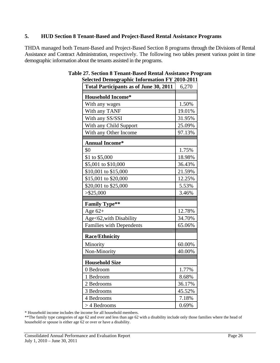#### **5. HUD Section 8 Tenant-Based and Project-Based Rental Assistance Programs**

THDA managed both Tenant-Based and Project-Based Section 8 programs through the Divisions of Rental Assistance and Contract Administration, respectively. The following two tables present various point in time demographic information about the tenants assisted in the programs.

| $\cdots$<br><b>Total Participants as of June 30, 2011</b> | 6,270  |
|-----------------------------------------------------------|--------|
| <b>Household Income*</b>                                  |        |
| With any wages                                            | 1.50%  |
| With any TANF                                             | 19.01% |
| With any SS/SSI                                           | 31.95% |
| With any Child Support                                    | 25.09% |
| With any Other Income                                     | 97.13% |
| <b>Annual Income*</b>                                     |        |
| \$0                                                       | 1.75%  |
| \$1 to \$5,000                                            | 18.98% |
| \$5,001 to \$10,000                                       | 36.43% |
| \$10,001 to \$15,000                                      | 21.59% |
| \$15,001 to \$20,000                                      | 12.25% |
| \$20,001 to \$25,000                                      | 5.53%  |
| $>$ \$25,000                                              | 3.46%  |
| <b>Family Type**</b>                                      |        |
| Age $62+$                                                 | 12.78% |
|                                                           | 34.70% |
| Age<62, with Disability                                   | 65.06% |
| <b>Families with Dependents</b>                           |        |
| <b>Race/Ethnicity</b>                                     |        |
| Minority                                                  | 60.00% |
| Non-Minority                                              | 40.00% |
| <b>Household Size</b>                                     |        |
| 0 Bedroom                                                 | 1.77%  |
| 1 Bedroom                                                 | 8.68%  |
| 2 Bedrooms                                                | 36.17% |
| 3 Bedrooms                                                | 45.52% |
| 4 Bedrooms                                                | 7.18%  |
|                                                           |        |

#### **Table 27. Section 8 Tenant-Based Rental Assistance Program Selected Demographic Information FY 2010-2011**

\* Household income includes the income for all household members.

\*\*The family type categories of age 62 and over and less than age 62 with a disability include only those families where the head of household or spouse is either age 62 or over or have a disability.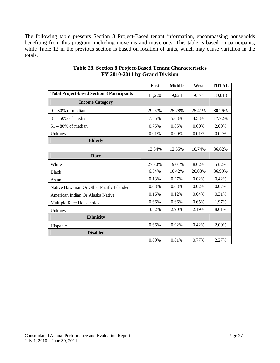The following table presents Section 8 Project-Based tenant information, encompassing households benefiting from this program, including move-ins and move-outs. This table is based on participants, while Table 12 in the previous section is based on location of units, which may cause variation in the totals.

|                                                   | East   | <b>Middle</b> | West   | <b>TOTAL</b> |
|---------------------------------------------------|--------|---------------|--------|--------------|
| <b>Total Project-based Section 8 Participants</b> | 11,220 | 9,624         | 9,174  | 30,018       |
| <b>Income Category</b>                            |        |               |        |              |
| $0 - 30%$ of median                               | 29.07% | 25.78%        | 25.41% | 80.26%       |
| $31 - 50\%$ of median                             | 7.55%  | 5.63%         | 4.53%  | 17.72%       |
| $51 - 80\%$ of median                             | 0.75%  | 0.65%         | 0.60%  | 2.00%        |
| Unknown                                           | 0.01%  | 0.00%         | 0.01%  | 0.02%        |
| <b>Elderly</b>                                    |        |               |        |              |
|                                                   | 13.34% | 12.55%        | 10.74% | 36.62%       |
| Race                                              |        |               |        |              |
| White                                             | 27.70% | 19.01%        | 8.62%  | 53.2%        |
| <b>Black</b>                                      | 6.54%  | 10.42%        | 20.03% | 36.99%       |
| Asian                                             | 0.13%  | 0.27%         | 0.02%  | 0.42%        |
| Native Hawaiian Or Other Pacific Islander         | 0.03%  | 0.03%         | 0.02%  | 0.07%        |
| American Indian Or Alaska Native                  | 0.16%  | 0.12%         | 0.04%  | 0.31%        |
| Multiple Race Households                          | 0.66%  | 0.66%         | 0.65%  | 1.97%        |
| Unknown                                           | 3.52%  | 2.90%         | 2.19%  | 8.61%        |
| <b>Ethnicity</b>                                  |        |               |        |              |
| Hispanic                                          | 0.66%  | 0.92%         | 0.42%  | 2.00%        |
| <b>Disabled</b>                                   |        |               |        |              |
|                                                   | 0.69%  | 0.81%         | 0.77%  | 2.27%        |

#### **Table 28. Section 8 Project-Based Tenant Characteristics FY 2010-2011 by Grand Division**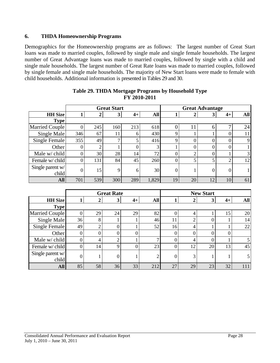#### **6. THDA Homeownership Programs**

Demographics for the Homeownership programs are as follows: The largest number of Great Start loans was made to married couples, followed by single male and single female households. The largest number of Great Advantage loans was made to married couples, followed by single with a child and single male households. The largest number of Great Rate loans was made to married couples, followed by single female and single male households. The majority of New Start loans were made to female with child households. Additional information is presented in Tables 29 and 30.

|                           |     |     | <b>Great Start</b> |      |       | <b>Great Advantage</b> |    |    |                |                |
|---------------------------|-----|-----|--------------------|------|-------|------------------------|----|----|----------------|----------------|
| <b>HH</b> Size            |     | 2   | 3                  | $4+$ | All   |                        |    | 3  | $4+$           | <b>All</b>     |
| <b>Type</b>               |     |     |                    |      |       |                        |    |    |                |                |
| Married Couple            |     | 245 | 160                | 213  | 618   |                        | 11 | 6  | ⇁              | 24             |
| Single Male               | 346 | 67  | 11                 | 6    | 430   | Q                      |    |    |                | 11             |
| Single Female             | 355 | 49  | ⇁                  | 5    | 416   | 9                      |    | O  | $\Omega$       | 9 <sub>1</sub> |
| Other                     | O.  | 2   |                    | 0    | 3     |                        |    | 0  | $\overline{0}$ |                |
| Male w/ child             | 0   | 30  | 28                 | 14   | 72    | 0                      | ◠  | 0  |                | 3              |
| Female w/child            | 0   | 131 | 84                 | 45   | 260   | 0                      | 5  | 5  | ◠              | 12             |
| Single parent w/<br>child |     | 15  | 9                  | 6    | 30    | 0                      |    | 0  | $\theta$       |                |
| <b>All</b>                | 701 | 539 | 300                | 289  | 1,829 | 19                     | 20 | 12 | 10             | 61             |

#### **Table 29. THDA Mortgage Programs by Household Type FY 2010-2011**

|                           |    |    | <b>Great Rate</b> |      | <b>New Start</b> |    |    |    |      |     |
|---------------------------|----|----|-------------------|------|------------------|----|----|----|------|-----|
| <b>HH</b> Size            |    |    | 3                 | $4+$ | All              |    |    | 3  | $4+$ | All |
| <b>Type</b>               |    |    |                   |      |                  |    |    |    |      |     |
| Married Couple            |    | 29 | 24                | 29   | 82               |    |    |    | 15   | 20  |
| Single Male               | 36 | 8  |                   |      | 46               | 11 |    |    |      | 14  |
| Single Female             | 49 | ◠  |                   |      | 52               | 16 |    |    |      | 22  |
| Other                     | 0  |    |                   | 0    |                  | 0  |    |    |      |     |
| Male $w$ child            | 0  | 4  |                   |      |                  |    |    |    |      |     |
| Female w/child            | 0  | 14 | Q                 | 0    | 23               | 0  | 12 | 20 | 13   | 45  |
| Single parent w/<br>child | 0  |    |                   |      | $\mathcal{D}$    | 0  | 3  |    |      |     |
| <b>All</b>                | 85 | 58 | 36                | 33   | 212              | 27 | 29 | 23 | 32   | 111 |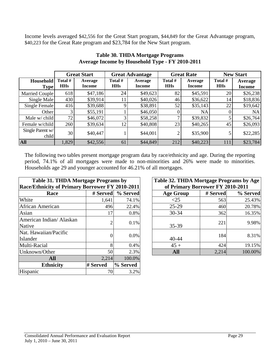Income levels averaged \$42,556 for the Great Start program, \$44,849 for the Great Advantage program, \$40,223 for the Great Rate program and \$23,784 for the New Start program.

|                           |                       | <b>Great Start</b>       |                       | <b>Great Advantage</b>   |                       | <b>Great Rate</b>        | <b>New Start</b>      |                          |
|---------------------------|-----------------------|--------------------------|-----------------------|--------------------------|-----------------------|--------------------------|-----------------------|--------------------------|
| Household<br><b>Type</b>  | Total #<br><b>HHs</b> | Average<br><b>Income</b> | Total #<br><b>HHs</b> | Average<br><b>Income</b> | Total #<br><b>HHs</b> | Average<br><b>Income</b> | Total #<br><b>HHs</b> | Average<br><b>Income</b> |
| Married Couple            | 618                   | \$47,186                 | 24                    | \$49,623                 | 82                    | \$45,591                 | 20                    | \$26,238                 |
| Single Male               | 430                   | \$39,914                 | 11                    | \$40,026                 | 46                    | \$36,622                 | 14                    | \$18,836                 |
| Single Female             | 416                   | \$39,688                 | Q                     | \$38,891                 | 52                    | \$35,143                 | 22                    | \$19,642                 |
| Other                     | 3                     | \$55,191                 |                       | \$46,050                 |                       | NA.                      |                       | NA                       |
| Male w/ child             | 72                    | \$46,072                 |                       | \$58,258                 |                       | \$39,832                 |                       | \$26,764                 |
| Female w/child            | 260                   | \$39,634                 | 12                    | \$40,808                 | 23                    | \$40,265                 | 45                    | \$26,093                 |
| Single Parent w/<br>child | 30                    | \$40,447                 |                       | \$44,001                 | 2                     | \$35,900                 |                       | \$22,285                 |
| <b>All</b>                | 1,829                 | \$42,556                 | 61                    | \$44,849                 | 212                   | \$40,223                 | 111                   | \$23,784                 |

#### **Table 30. THDA Mortgage Programs Average Income by Household Type - FY 2010-2011**

The following two tables present mortgage program data by race/ethnicity and age. During the reporting period, 74.1% of all mortgages were made to non-minorities and 26% were made to minorities. Households age 29 and younger accounted for 46.21% of all mortgages.

| Table 31. THDA Mortgage Programs by             |                |          | Table 32. THDA Mortgage Programs by Age |          |          |  |
|-------------------------------------------------|----------------|----------|-----------------------------------------|----------|----------|--|
| Race/Ethnicity of Primary Borrower FY 2010-2011 |                |          | of Primary Borrower FY 2010-2011        |          |          |  |
| Race                                            | # Served       | % Served | <b>Age Group</b>                        | # Served | % Served |  |
| White                                           | 1,641          | 74.1%    | <25                                     | 563      | 25.43%   |  |
| <b>African American</b>                         | 496            | 22.4%    | $25-29$                                 | 460      | 20.78%   |  |
| Asian                                           | 17             | 0.8%     | $30 - 34$                               | 362      | 16.35%   |  |
| American Indian/ Alaskan<br>Native              | $\overline{2}$ | 0.1%     | 35-39                                   | 221      | 9.98%    |  |
| Nat. Hawaiian/Pacific<br>Islander               | $\overline{0}$ | $0.0\%$  | $40 - 44$                               | 184      | 8.31%    |  |
| Multi-Racial                                    | 8              | 0.4%     | $45 +$                                  | 424      | 19.15%   |  |
| Unknown/Other                                   | 50             | 2.3%     | <b>All</b>                              | 2,214    | 100.00%  |  |
| <b>All</b>                                      | 2,214          | 100.0%   |                                         |          |          |  |
| <b>Ethnicity</b>                                | # Served       | % Served |                                         |          |          |  |
| Hispanic                                        | 70             | 3.2%     |                                         |          |          |  |

| 31. THDA Mortgage Programs by         |                |                     | Table 32. THDA Mortgage Programs by Age  |       |         |  |  |  |
|---------------------------------------|----------------|---------------------|------------------------------------------|-------|---------|--|--|--|
| city of Primary Borrower FY 2010-2011 |                |                     | of Primary Borrower FY 2010-2011         |       |         |  |  |  |
| <b>Race</b>                           |                | # Served   % Served | # Served<br>% Served<br><b>Age Group</b> |       |         |  |  |  |
|                                       | 1,641          | 74.1%               | $<$ 25                                   | 563   | 25.43%  |  |  |  |
| erican                                | 496            | 22.4%               | $25-29$                                  | 460   | 20.78%  |  |  |  |
|                                       | 17             | 0.8%                | $30 - 34$                                | 362   | 16.35%  |  |  |  |
| dian/ Alaskan                         | $\overline{2}$ | 0.1%                | 35-39                                    | 221   | 9.98%   |  |  |  |
| an/Pacific                            | 0              | 0.0%                | 40-44                                    | 184   | 8.31%   |  |  |  |
|                                       | 8              | 0.4%                | $45 +$                                   | 424   | 19.15%  |  |  |  |
| ther                                  | 50             | 2.3%                | <b>All</b>                               | 2,214 | 100.00% |  |  |  |
|                                       |                |                     |                                          |       |         |  |  |  |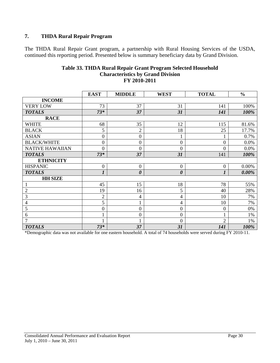## **7. THDA Rural Repair Program**

The THDA Rural Repair Grant program, a partnership with Rural Housing Services of the USDA, continued this reporting period. Presented below is summary beneficiary data by Grand Division.

|                        | <b>EAST</b>    | <b>MIDDLE</b>    | <b>WEST</b>           | <b>TOTAL</b>     | $\frac{0}{0}$ |
|------------------------|----------------|------------------|-----------------------|------------------|---------------|
| <b>INCOME</b>          |                |                  |                       |                  |               |
| <b>VERY LOW</b>        | 73             | 37               | 31                    | 141              | 100%          |
| <b>TOTALS</b>          | $73*$          | 37               | 31                    | 141              | 100%          |
| <b>RACE</b>            |                |                  |                       |                  |               |
| <b>WHITE</b>           | 68             | 35               | 12                    | 115              | 81.6%         |
| <b>BLACK</b>           | 5              | $\overline{2}$   | 18                    | 25               | 17.7%         |
| <b>ASIAN</b>           | $\overline{0}$ | $\boldsymbol{0}$ | 1                     | 1                | 0.7%          |
| <b>BLACK/WHITE</b>     | 0              | 0                | $\mathbf{0}$          | $\overline{0}$   | 0.0%          |
| <b>NATIVE HAWAIIAN</b> | 0              | $\boldsymbol{0}$ | $\overline{0}$        | $\theta$         | 0.0%          |
| <b>TOTALS</b>          | $73*$          | 37               | 31                    | 141              | 100%          |
| <b>ETHNICITY</b>       |                |                  |                       |                  |               |
| <b>HISPANIC</b>        | $\overline{0}$ | $\boldsymbol{0}$ | $\boldsymbol{0}$      | $\boldsymbol{0}$ | 0.00%         |
| <b>TOTALS</b>          | 1              | 0                | $\boldsymbol{\theta}$ | 1                | $0.00\%$      |
| <b>HH SIZE</b>         |                |                  |                       |                  |               |
| $\mathbf{1}$           | 45             | 15               | 18                    | 78               | 55%           |
| $\overline{2}$         | 19             | 16               | 5                     | 40               | 28%           |
| 3                      | $\overline{2}$ | 4                | 4                     | 10               | 7%            |
| $\overline{4}$         | 5              |                  | 4                     | 10               | 7%            |
| 5                      | $\overline{0}$ | $\boldsymbol{0}$ | $\overline{0}$        | $\mathbf{0}$     | 0%            |
| 6                      |                | 0                | $\boldsymbol{0}$      | 1                | 1%            |
| 7                      |                |                  | $\overline{0}$        | $\overline{2}$   | 1%            |
| <b>TOTALS</b>          | $73*$          | 37               | 31                    | 141              | 100%          |

#### **Table 33. THDA Rural Repair Grant Program Selected Household Characteristics by Grand Division FY 2010-2011**

\*Demographic data was not available for one eastern household. A total of 74 households were served during FY 2010-11.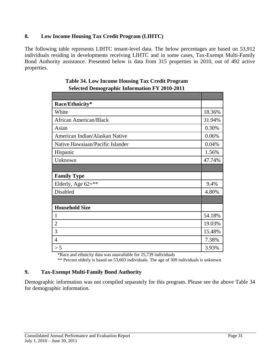## **8. Low Income Housing Tax Credit Program (LIHTC)**

The following table represents LIHTC tenant-level data. The below percentages are based on 53,912 individuals residing in developments receiving LIHTC and in some cases, Tax-Exempt Multi-Family Bond Authority assistance. Presented below is data from 315 properties in 2010, out of 492 active properties.

| Race/Ethnicity*                  |        |
|----------------------------------|--------|
| White                            | 18.36% |
| <b>African American/Black</b>    | 31.94% |
| Asian                            |        |
| American Indian/Alaskan Native   |        |
| Native Hawaiaan/Pacific Islander |        |
| Hispanic                         | 1.56%  |
| Unknown                          | 47.74% |
|                                  |        |
| <b>Family Type</b>               |        |
|                                  |        |
| Elderly, Age 62+**               | 9.4%   |
| Disabled                         | 4.80%  |
|                                  |        |
| <b>Household Size</b>            |        |
| $\mathbf{1}$                     | 54.18% |
| $\overline{2}$                   | 19.03% |
| 3                                | 15.48% |
| $\overline{4}$                   | 7.38%  |

## **Table 34. Low Income Housing Tax Credit Program Selected Demographic Information FY 2010-2011**

\*Race and ethnicity data was unavailable for 25,739 individuals

\*\* Percent elderly is based on 53,603 individuals. The age of 309 individuals is unknown

## **9. Tax-Exempt Multi-Family Bond Authority**

Demographic information was not compiled separately for this program. Please see the above Table 34 for demographic information.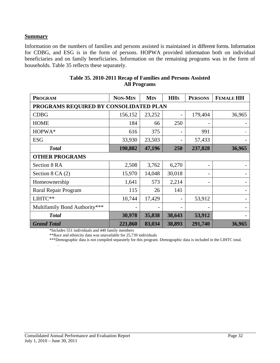#### **Summary**

Information on the numbers of families and persons assisted is maintained in different forms. Information for CDBG, and ESG is in the form of persons. HOPWA provided information both on individual beneficiaries and on family beneficiaries. Information on the remaining programs was in the form of households. Table 35 reflects these separately.

| <b>PROGRAM</b>                         | <b>NON-MIN</b> | <b>MIN</b> | <b>HH<sub>S</sub></b> | <b>PERSONS</b> | <b>FEMALE HH</b> |  |  |  |
|----------------------------------------|----------------|------------|-----------------------|----------------|------------------|--|--|--|
| PROGRAMS REQUIRED BY CONSOLIDATED PLAN |                |            |                       |                |                  |  |  |  |
| <b>CDBG</b>                            | 156,152        | 23,252     |                       | 179,404        | 36,965           |  |  |  |
| <b>HOME</b>                            | 184            | 66         | 250                   |                |                  |  |  |  |
| HOPWA*                                 | 616            | 375        |                       | 991            |                  |  |  |  |
| <b>ESG</b>                             | 33,930         | 23,503     |                       | 57,433         |                  |  |  |  |
| <b>Total</b>                           | 190,882        | 47,196     | 250                   | 237,828        | 36,965           |  |  |  |
| <b>OTHER PROGRAMS</b>                  |                |            |                       |                |                  |  |  |  |
| Section 8 RA                           | 2,508          | 3,762      | 6,270                 |                |                  |  |  |  |
| Section $8$ CA $(2)$                   | 15,970         | 14,048     | 30,018                |                |                  |  |  |  |
| Homeownership                          | 1,641          | 573        | 2,214                 |                |                  |  |  |  |
| Rural Repair Program                   | 115            | 26         | 141                   |                |                  |  |  |  |
| LIHTC**                                | 10,744         | 17,429     |                       | 53,912         |                  |  |  |  |
| Multifamily Bond Authority***          |                |            |                       |                |                  |  |  |  |
| <b>Total</b>                           | 30,978         | 35,838     | 38,643                | 53,912         |                  |  |  |  |
| <b>Grand Total</b>                     | 221,860        | 83,034     | 38,893                | 291,740        | 36,965           |  |  |  |

#### **Table 35. 2010-2011 Recap of Families and Persons Assisted All Programs**

\*Includes 551 individuals and 440 family members

.

\*\*Race and ethnicity data was unavailable for 25,739 individuals

\*\*\*Demographic data is not compiled separately for this program. Demographic data is included in the LIHTC total.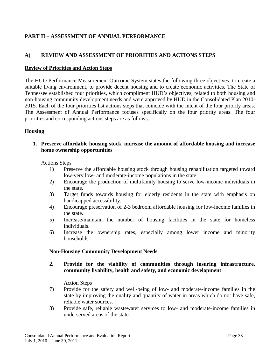## **PART II – ASSESSMENT OF ANNUAL PERFORMANCE**

## **A) REVIEW AND ASSESSMENT OF PRIORITIES AND ACTIONS STEPS**

#### **Review of Priorities and Action Steps**

The HUD Performance Measurement Outcome System states the following three objectives: to create a suitable living environment, to provide decent housing and to create economic activities. The State of Tennessee established four priorities, which compliment HUD's objectives, related to both housing and non-housing community development needs and were approved by HUD in the Consolidated Plan 2010- 2015. Each of the four priorities list actions steps that coincide with the intent of the four priority areas. The Assessment of Annual Performance focuses specifically on the four priority areas. The four priorities and corresponding actions steps are as follows:

#### **Housing**

#### **1. Preserve affordable housing stock, increase the amount of affordable housing and increase home ownership opportunities**

#### Actions Steps

- 1) Preserve the affordable housing stock through housing rehabilitation targeted toward low-very low- and moderate-income populations in the state.
- 2) Encourage the production of multifamily housing to serve low-income individuals in the state.
- 3) Target funds towards housing for elderly residents in the state with emphasis on handicapped accessibility.
- 4) Encourage preservation of 2-3 bedroom affordable housing for low-income families in the state.
- 5) Increase/maintain the number of housing facilities in the state for homeless individuals.
- 6) Increase the ownership rates, especially among lower income and minority households.

#### **Non-Housing Community Development Needs**

**2. Provide for the viability of communities through insuring infrastructure, community livability, health and safety, and economic development** 

Action Steps

- 7) Provide for the safety and well-being of low- and moderate-income families in the state by improving the quality and quantity of water in areas which do not have safe, reliable water sources.
- 8) Provide safe, reliable wastewater services to low- and moderate-income families in underserved areas of the state.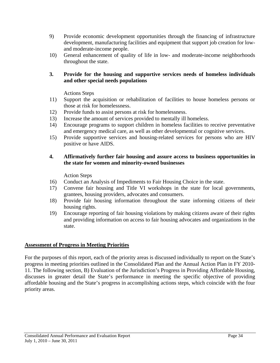- 9) Provide economic development opportunities through the financing of infrastructure development, manufacturing facilities and equipment that support job creation for lowand moderate-income people.
- 10) General enhancement of quality of life in low- and moderate-income neighborhoods throughout the state.

## **3. Provide for the housing and supportive services needs of homeless individuals and other special needs populations**

Actions Steps

- 11) Support the acquisition or rehabilitation of facilities to house homeless persons or those at risk for homelessness.
- 12) Provide funds to assist persons at risk for homelessness.
- 13) Increase the amount of services provided to mentally ill homeless.
- 14) Encourage programs to support children in homeless facilities to receive preventative and emergency medical care, as well as other developmental or cognitive services.
- 15) Provide supportive services and housing-related services for persons who are HIV positive or have AIDS.

## **4. Affirmatively further fair housing and assure access to business opportunities in the state for women and minority-owned businesses**

Action Steps

- 16) Conduct an Analysis of Impediments to Fair Housing Choice in the state.
- 17) Convene fair housing and Title VI workshops in the state for local governments, grantees, housing providers, advocates and consumers.
- 18) Provide fair housing information throughout the state informing citizens of their housing rights.
- 19) Encourage reporting of fair housing violations by making citizens aware of their rights and providing information on access to fair housing advocates and organizations in the state.

## **Assessment of Progress in Meeting Priorities**

For the purposes of this report, each of the priority areas is discussed individually to report on the State's progress in meeting priorities outlined in the Consolidated Plan and the Annual Action Plan in FY 2010- 11. The following section, B) Evaluation of the Jurisdiction's Progress in Providing Affordable Housing, discusses in greater detail the State's performance in meeting the specific objective of providing affordable housing and the State's progress in accomplishing actions steps, which coincide with the four priority areas.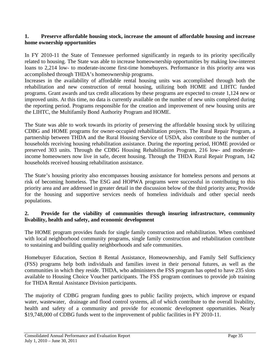#### **1. Preserve affordable housing stock, increase the amount of affordable housing and increase home ownership opportunities**

In FY 2010-11 the State of Tennessee performed significantly in regards to its priority specifically related to housing. The State was able to increase homeownership opportunities by making low-interest loans to 2,214 low- to moderate-income first-time homebuyers. Performance in this priority area was accomplished through THDA's homeownership programs.

Increases in the availability of affordable rental housing units was accomplished through both the rehabilitation and new construction of rental housing, utilizing both HOME and LIHTC funded programs. Grant awards and tax credit allocations by these programs are expected to create 1,124 new or improved units. At this time, no data is currently available on the number of new units completed during the reporting period. Programs responsible for the creation and improvement of new housing units are the LIHTC, the Multifamily Bond Authority Program and HOME.

The State was able to work towards its priority of preserving the affordable housing stock by utilizing CDBG and HOME programs for owner-occupied rehabilitation projects. The Rural Repair Program, a partnership between THDA and the Rural Housing Service of USDA, also contribute to the number of households receiving housing rehabilitation assistance. During the reporting period, HOME provided or preserved 303 units. Through the CDBG Housing Rehabilitation Program, 216 low- and moderateincome homeowners now live in safe, decent housing. Through the THDA Rural Repair Program, 142 households received housing rehabilitation assistance.

The State's housing priority also encompasses housing assistance for homeless persons and persons at risk of becoming homeless. The ESG and HOPWA programs were successful in contributing to this priority area and are addressed in greater detail in the discussion below of the third priority area; Provide for the housing and supportive services needs of homeless individuals and other special needs populations.

#### **2. Provide for the viability of communities through insuring infrastructure, community livability, health and safety, and economic development**

The HOME program provides funds for single family construction and rehabilitation. When combined with local neighborhood community programs, single family construction and rehabilitation contribute to sustaining and building quality neighborhoods and safe communities.

Homebuyer Education, Section 8 Rental Assistance, Homeownership, and Family Self Sufficiency (FSS) programs help both individuals and families invest in their personal futures, as well as the communities in which they reside. THDA, who administers the FSS program has opted to have 235 slots available to Housing Choice Voucher participants. The FSS program continues to provide job training for THDA Rental Assistance Division participants.

The majority of CDBG program funding goes to public facility projects, which improve or expand water, wastewater, drainage and flood control systems, all of which contribute to the overall livability, health and safety of a community and provide for economic development opportunities. Nearly \$19,748,000 of CDBG funds went to the improvement of public facilities in FY 2010-11.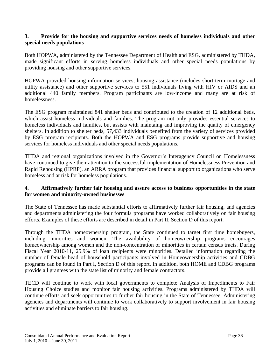#### **3. Provide for the housing and supportive services needs of homeless individuals and other special needs populations**

Both HOPWA, administered by the Tennessee Department of Health and ESG, administered by THDA, made significant efforts in serving homeless individuals and other special needs populations by providing housing and other supportive services.

HOPWA provided housing information services, housing assistance (includes short-term mortage and utility assistance) and other supportive services to 551 individuals living with HIV or AIDS and an additional 440 family members. Program participants are low-income and many are at risk of homelessness.

The ESG program maintained 841 shelter beds and contributed to the creation of 12 additional beds, which assist homeless individuals and families. The program not only provides essential services to homeless individuals and families, but assists with maintaing and improving the quality of emergency shelters. In addition to shelter beds, 57,433 individuals benefited from the variety of services provided by ESG program recipients. Both the HOPWA and ESG programs provide supportive and housing services for homeless individuals and other special needs populations.

THDA and regional organizations involved in the Governor's Interagency Council on Homelessness have continued to give their attention to the successful implementation of Homelessness Prevention and Rapid Rehousing (HPRP), an ARRA program that provides financial support to organizations who serve homeless and at risk for homeless populations.

#### **4. Affirmatively further fair housing and assure access to business opportunities in the state for women and minority-owned businesses**

The State of Tennessee has made substantial efforts to affirmatively further fair housing, and agencies and departments administering the four formula programs have worked collaboratively on fair housing efforts. Examples of these efforts are described in detail in Part II, Section D of this report.

Through the THDA homeownership program, the State continued to target first time homebuyers, including minorities and women. The availability of homeownership programs encourages homeownership among women and the non-concentration of minorities in certain census tracts. During Fiscal Year 2010-11, 25.9% of loan recipients were minorities. Detailed information regarding the number of female head of household participants involved in Homeownership activities and CDBG programs can be found in Part I, Section D of this report. In addition, both HOME and CDBG programs provide all grantees with the state list of minority and female contractors.

TECD will continue to work with local governments to complete Analysis of Impediments to Fair Housing Choice studies and monitor fair housing activities. Programs administered by THDA will continue efforts and seek opportunities to further fair housing in the State of Tennessee. Administering agencies and departments will continue to work collaboratively to support involvement in fair housing activities and eliminate barriers to fair housing.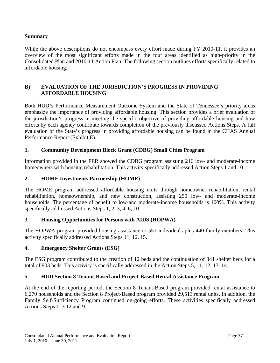## **Summary**

While the above descriptions do not encompass every effort made during FY 2010-11, it provides an overview of the most significant efforts made in the four areas identified as high-priority in the Consolidated Plan and 2010-11 Action Plan. The following section outlines efforts specifically related to affordable housing.

## **B) EVALUATION OF THE JURISDICTION'S PROGRESS IN PROVIDING AFFORDABLE HOUSING**

Both HUD's Performance Measurement Outcome System and the State of Tennessee's priority areas emphasize the importance of providing affordable housing. This section provides a brief evaluation of the jurisdiction's progress in meeting the specific objective of providing affordable housing and how efforts by each agency contribute towards completion of the previously discussed Actions Steps. A full evaluation of the State's progress in providing affordable housing can be found in the CHAS Annual Performance Report (Exhibit E).

## **1. Community Development Block Grant (CDBG) Small Cities Program**

Information provided in the PER showed the CDBG program assisting 216 low- and moderate-income homeowners with housing rehabilitation. This activity specifically addressed Action Steps 1 and 10.

## **2. HOME Investments Partnership (HOME)**

The HOME program addressed affordable housing units through homeowner rehabilitation, rental rehabilitation, homeownership, and new construction, assisting 250 low- and moderate-income households. The percentage of benefit to low-and moderate-income households is 100%. This activity specifically addressed Actions Steps 1, 2, 3, 4, 6, 10.

## **3. Housing Opportunities for Persons with AIDS (HOPWA)**

The HOPWA program provided housing assistance to 551 individuals plus 440 family members. This activity specifically addressed Actions Steps 11, 12, 15.

## **4. Emergency Shelter Grants (ESG)**

The ESG program contributed to the creation of 12 beds and the continuation of 841 shelter beds for a total of 903 beds. This activity is specifically addressed in the Action Steps 5, 11, 12, 13, 14.

## **5. HUD Section 8 Tenant-Based and Project-Based Rental Assistance Program**

At the end of the reporting period, the Section 8 Tenant-Based program provided rental assistance to 6,270 households and the Section 8 Project-Based program provided 29,513 rental units. In addition, the Family Self-Sufficiency Program continued on-going efforts. These activities specifically addressed Actions Steps 1, 3 12 and 9.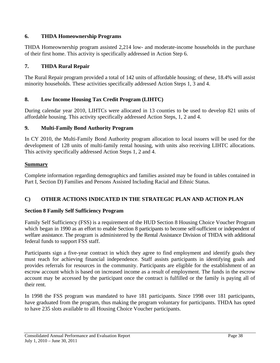## **6. THDA Homeownership Programs**

THDA Homeownership program assisted 2,214 low- and moderate-income households in the purchase of their first home. This activity is specifically addressed in Action Step 6.

## **7. THDA Rural Repair**

The Rural Repair program provided a total of 142 units of affordable housing; of these, 18.4% will assist minority households. These activities specifically addressed Action Steps 1, 3 and 4.

## **8. Low Income Housing Tax Credit Program (LIHTC)**

During calendar year 2010, LIHTCs were allocated in 13 counties to be used to develop 821 units of affordable housing. This activity specifically addressed Action Steps, 1, 2 and 4.

## **9. Multi-Family Bond Authority Program**

In CY 2010, the Multi-Family Bond Authority program allocation to local issuers will be used for the development of 128 units of multi-family rental housing, with units also receiving LIHTC allocations. This activity specifically addressed Action Steps 1, 2 and 4.

## **Summary**

Complete information regarding demographics and families assisted may be found in tables contained in Part I, Section D) Families and Persons Assisted Including Racial and Ethnic Status.

## **C) OTHER ACTIONS INDICATED IN THE STRATEGIC PLAN AND ACTION PLAN**

## **Section 8 Family Self Sufficiency Program**

Family Self Sufficiency (FSS) is a requirement of the HUD Section 8 Housing Choice Voucher Program which began in 1990 as an effort to enable Section 8 participants to become self-sufficient or independent of welfare assistance. The program is administered by the Rental Assistance Division of THDA with additional federal funds to support FSS staff.

Participants sign a five-year contract in which they agree to find employment and identify goals they must reach for achieving financial independence. Staff assists participants in identifying goals and provides referrals for resources in the community. Participants are eligible for the establishment of an escrow account which is based on increased income as a result of employment. The funds in the escrow account may be accessed by the participant once the contract is fulfilled or the family is paying all of their rent.

In 1998 the FSS program was mandated to have 181 participants. Since 1998 over 181 participants, have graduated from the program, thus making the program voluntary for participants. THDA has opted to have 235 slots available to all Housing Choice Voucher participants.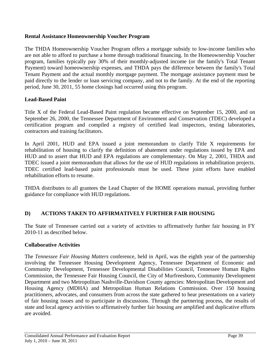#### **Rental Assistance Homeownership Voucher Program**

The THDA Homeownership Voucher Program offers a mortgage subsidy to low-income families who are not able to afford to purchase a home through traditional financing. In the Homeownership Voucher program, families typically pay 30% of their monthly-adjusted income (or the family's Total Tenant Payment) toward homeownership expenses, and THDA pays the difference between the family's Total Tenant Payment and the actual monthly mortgage payment. The mortgage assistance payment must be paid directly to the lender or loan servicing company, and not to the family. At the end of the reporting period, June 30, 2011, 55 home closings had occurred using this program.

## **Lead-Based Paint**

Title X of the Federal Lead-Based Paint regulation became effective on September 15, 2000, and on September 26, 2000, the Tennessee Department of Environment and Conservation (TDEC) developed a certification program and compiled a registry of certified lead inspectors, testing laboratories, contractors and training facilitators.

In April 2001, HUD and EPA issued a joint memorandum to clarify Title X requirements for rehabilitation of housing to clarify the definition of abatement under regulations issued by EPA and HUD and to assert that HUD and EPA regulations are complementary. On May 2, 2001, THDA and TDEC issued a joint memorandum that allows for the use of HUD regulations in rehabilitation projects. TDEC certified lead-based paint professionals must be used. These joint efforts have enabled rehabilitation efforts to resume.

THDA distributes to all grantees the Lead Chapter of the HOME operations manual, providing further guidance for compliance with HUD regulations.

## **D) ACTIONS TAKEN TO AFFIRMATIVELY FURTHER FAIR HOUSING**

The State of Tennessee carried out a variety of activities to affirmatively further fair housing in FY 2010-11 as described below.

#### **Collaborative Activities**

The *Tennessee Fair Housing Matters* conference, held in April, was the eighth year of the partnership involving the Tennessee Housing Development Agency, Tennessee Department of Economic and Community Development, Tennessee Developmental Disabilities Council, Tennessee Human Rights Commission, the Tennessee Fair Housing Council, the City of Murfreesboro, Community Development Department and two Metropolitan Nashville-Davidson County agencies: Metropolitan Development and Housing Agency (MDHA) and Metropolitan Human Relations Commission. Over 150 housing practitioners, advocates, and consumers from across the state gathered to hear presentations on a variety of fair housing issues and to participate in discussions. Through the partnering process, the results of state and local agency activities to affirmatively further fair housing are amplified and duplicative efforts are avoided.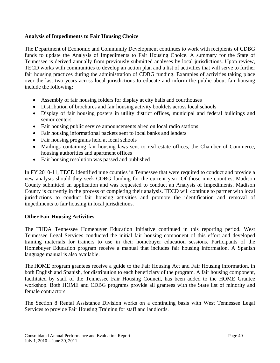#### **Analysis of Impediments to Fair Housing Choice**

The Department of Economic and Community Development continues to work with recipients of CDBG funds to update the Analysis of Impediments to Fair Housing Choice. A summary for the State of Tennessee is derived annually from previously submitted analyses by local jurisdictions. Upon review, TECD works with communities to develop an action plan and a list of activities that will serve to further fair housing practices during the administration of CDBG funding. Examples of activities taking place over the last two years across local jurisdictions to educate and inform the public about fair housing include the following:

- Assembly of fair housing folders for display at city halls and courthouses
- Distribution of brochures and fair housing activity booklets across local schools
- Display of fair housing posters in utility district offices, municipal and federal buildings and senior centers
- Fair housing public service announcements aired on local radio stations
- Fair housing informational packets sent to local banks and lenders
- Fair housing programs held at local schools
- Mailings containing fair housing laws sent to real estate offices, the Chamber of Commerce, housing authorities and apartment offices
- Fair housing resolution was passed and published

In FY 2010-11, TECD identified nine counties in Tennessee that were required to conduct and provide a new analysis should they seek CDBG funding for the current year. Of those nine counties, Madison County submitted an application and was requested to conduct an Analysis of Impediments. Madison County is currently in the process of completing their analysis. TECD will continue to partner with local jurisdictions to conduct fair housing activities and promote the identification and removal of impediments to fair housing in local jurisdictions.

## **Other Fair Housing Activities**

The THDA Tennessee Homebuyer Education Initiative continued in this reporting period. West Tennessee Legal Services conducted the initial fair housing component of this effort and developed training materials for trainers to use in their homebuyer education sessions. Participants of the Homebuyer Education program receive a manual that includes fair housing information. A Spanish language manual is also available.

The HOME program grantees receive a guide to the Fair Housing Act and Fair Housing information, in both English and Spanish, for distribution to each beneficiary of the program. A fair housing component, facilitated by staff of the Tennessee Fair Housing Council, has been added to the HOME Grantee workshop. Both HOME and CDBG programs provide all grantees with the State list of minority and female contractors.

The Section 8 Rental Assistance Division works on a continuing basis with West Tennessee Legal Services to provide Fair Housing Training for staff and landlords.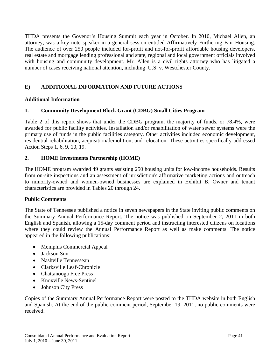THDA presents the Govenor's Housing Summit each year in October. In 2010, Michael Allen, an attorney, was a key note speaker in a general session entitled Affirmatively Furthering Fair Housing. The audience of over 250 people included for-profit and not-for-profit affordable housing developers, real estate and mortgage lending professional and state, regional and local government officials involved with housing and community development. Mr. Allen is a civil rights attorney who has litigated a number of cases receiving national attention, including U.S. v. Westchester County.

## **E) ADDITIONAL INFORMATION AND FUTURE ACTIONS**

## **Additional Information**

## **1. Community Development Block Grant (CDBG) Small Cities Program**

Table 2 of this report shows that under the CDBG program, the majority of funds, or 78.4%, were awarded for public facility activities. Installation and/or rehabilitation of water sewer systems were the primary use of funds in the public facilities category. Other activities included economic development, residential rehabilitation, acquisition/demolition, and relocation. These activities specifically addressed Action Steps 1, 6, 9, 10, 19.

## **2. HOME Investments Partnership (HOME)**

The HOME program awarded 49 grants assisting 250 housing units for low-income households. Results from on-site inspections and an assessment of jurisdiction's affirmative marketing actions and outreach to minority-owned and women-owned businesses are explained in Exhibit B. Owner and tenant characteristics are provided in Tables 20 through 24.

## **Public Comments**

The State of Tennessee published a notice in seven newspapers in the State inviting public comments on the Summary Annual Performance Report. The notice was published on September 2, 2011 in both English and Spanish, allowing a 15-day comment period and instructing interested citizens on locations where they could review the Annual Performance Report as well as make comments. The notice appeared in the following publications:

- Memphis Commercial Appeal
- Jackson Sun
- Nashville Tennessean
- Clarksville Leaf-Chronicle
- Chattanooga Free Press
- Knoxville News-Sentinel
- Johnson City Press

Copies of the Summary Annual Performance Report were posted to the THDA website in both English and Spanish. At the end of the public comment period, September 19, 2011, no public comments were received.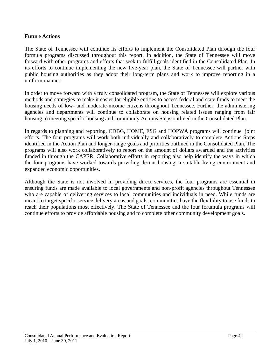#### **Future Actions**

The State of Tennessee will continue its efforts to implement the Consolidated Plan through the four formula programs discussed throughout this report. In addition, the State of Tennessee will move forward with other programs and efforts that seek to fulfill goals identified in the Consolidated Plan. In its efforts to continue implementing the new five-year plan, the State of Tennessee will partner with public housing authorities as they adopt their long-term plans and work to improve reporting in a uniform manner.

In order to move forward with a truly consolidated program, the State of Tennessee will explore various methods and strategies to make it easier for eligible entities to access federal and state funds to meet the housing needs of low- and moderate-income citizens throughout Tennessee. Further, the administering agencies and departments will continue to collaborate on housing related issues ranging from fair housing to meeting specific housing and community Actions Steps outlined in the Consolidated Plan.

In regards to planning and reporting, CDBG, HOME, ESG and HOPWA programs will continue joint efforts. The four programs will work both individually and collaboratively to complete Actions Steps identified in the Action Plan and longer-range goals and priorities outlined in the Consolidated Plan. The programs will also work collaboratively to report on the amount of dollars awarded and the activities funded in through the CAPER. Collaborative efforts in reporting also help identify the ways in which the four programs have worked towards providing decent housing, a suitable living environment and expanded economic opportunities.

Although the State is not involved in providing direct services, the four programs are essential in ensuring funds are made available to local governments and non-profit agencies throughout Tennessee who are capable of delivering services to local communities and individuals in need. While funds are meant to target specific service delivery areas and goals, communities have the flexibility to use funds to reach their populations most effectively. The State of Tennessee and the four forumula programs will continue efforts to provide affordable housing and to complete other community development goals.